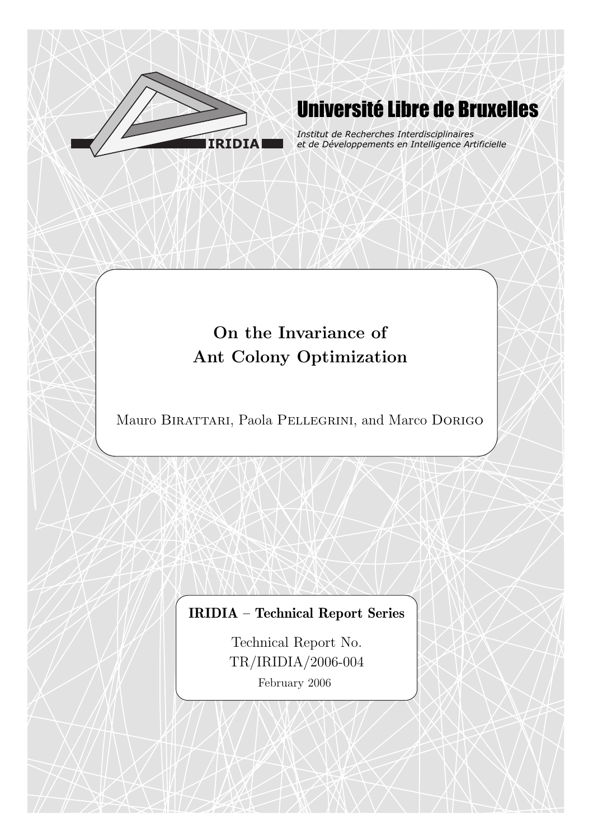

# Université Libre de Bruxelles

*Institut de Recherches Interdisciplinaires et de Développements en Intelligence Artificielle*

# On the Invariance of Ant Colony Optimization

Mauro Birattari, Paola Pellegrini, and Marco Dorigo

## IRIDIA – Technical Report Series

Technical Report No. TR/IRIDIA/2006-004 February 2006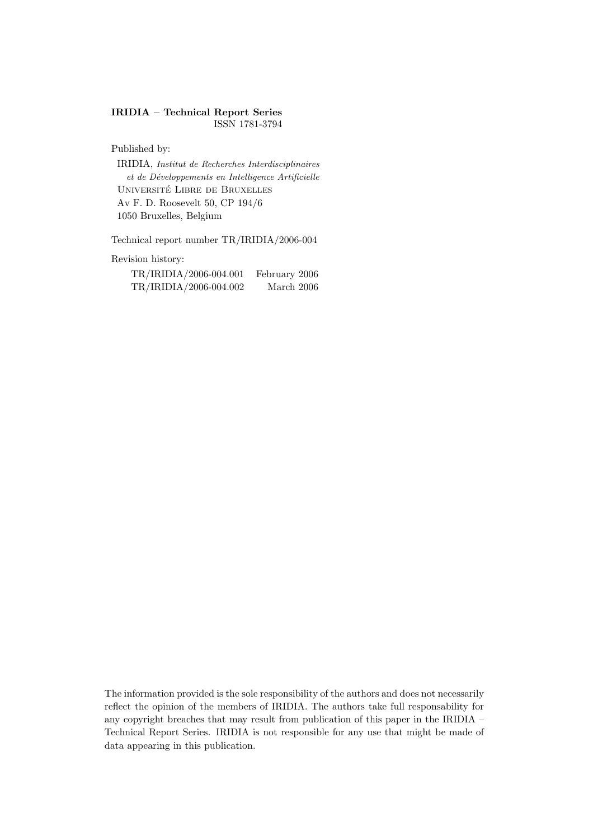#### IRIDIA – Technical Report Series ISSN 1781-3794

Published by:

IRIDIA, Institut de Recherches Interdisciplinaires et de D´eveloppements en Intelligence Artificielle UNIVERSITÉ LIBRE DE BRUXELLES Av F. D. Roosevelt 50, CP 194/6 1050 Bruxelles, Belgium

Technical report number TR/IRIDIA/2006-004

Revision history:

| TR/IRIDIA/2006-004.001 | February 2006 |
|------------------------|---------------|
| TR/IRIDIA/2006-004.002 | March 2006    |

The information provided is the sole responsibility of the authors and does not necessarily reflect the opinion of the members of IRIDIA. The authors take full responsability for any copyright breaches that may result from publication of this paper in the IRIDIA – Technical Report Series. IRIDIA is not responsible for any use that might be made of data appearing in this publication.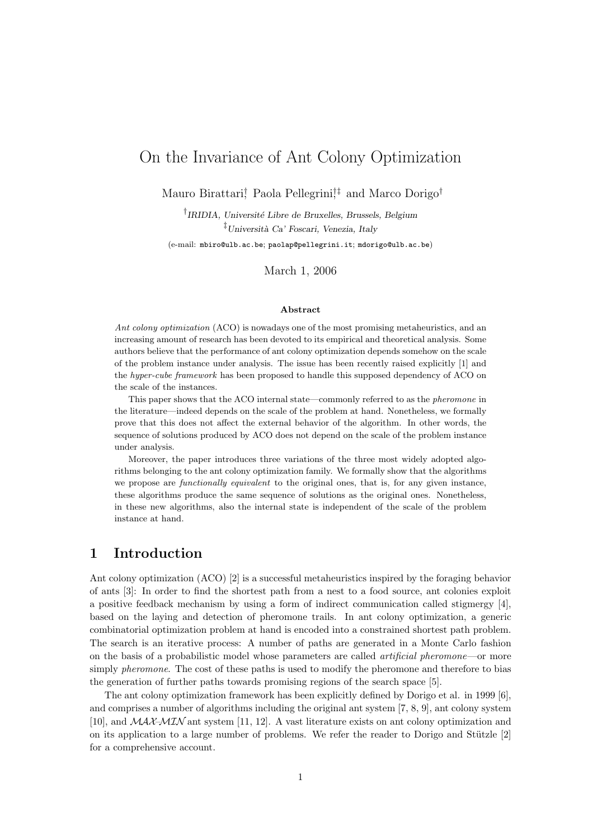## On the Invariance of Ant Colony Optimization

Mauro Birattari,<sup>†</sup> Paola Pellegrini<sup>†‡</sup> and Marco Dorigo<sup>†</sup>

<sup>†</sup>IRIDIA, Université Libre de Bruxelles, Brussels, Belgium  $\frac{1}{2}$ Università Ca' Foscari, Venezia, Italy (e-mail: mbiro@ulb.ac.be; paolap@pellegrini.it; mdorigo@ulb.ac.be)

March 1, 2006

#### Abstract

Ant colony optimization (ACO) is nowadays one of the most promising metaheuristics, and an increasing amount of research has been devoted to its empirical and theoretical analysis. Some authors believe that the performance of ant colony optimization depends somehow on the scale of the problem instance under analysis. The issue has been recently raised explicitly [1] and the hyper-cube framework has been proposed to handle this supposed dependency of ACO on the scale of the instances.

This paper shows that the ACO internal state—commonly referred to as the *pheromone* in the literature—indeed depends on the scale of the problem at hand. Nonetheless, we formally prove that this does not affect the external behavior of the algorithm. In other words, the sequence of solutions produced by ACO does not depend on the scale of the problem instance under analysis.

Moreover, the paper introduces three variations of the three most widely adopted algorithms belonging to the ant colony optimization family. We formally show that the algorithms we propose are *functionally equivalent* to the original ones, that is, for any given instance, these algorithms produce the same sequence of solutions as the original ones. Nonetheless, in these new algorithms, also the internal state is independent of the scale of the problem instance at hand.

### 1 Introduction

Ant colony optimization (ACO) [2] is a successful metaheuristics inspired by the foraging behavior of ants [3]: In order to find the shortest path from a nest to a food source, ant colonies exploit a positive feedback mechanism by using a form of indirect communication called stigmergy [4], based on the laying and detection of pheromone trails. In ant colony optimization, a generic combinatorial optimization problem at hand is encoded into a constrained shortest path problem. The search is an iterative process: A number of paths are generated in a Monte Carlo fashion on the basis of a probabilistic model whose parameters are called artificial pheromone—or more simply *pheromone*. The cost of these paths is used to modify the pheromone and therefore to bias the generation of further paths towards promising regions of the search space [5].

The ant colony optimization framework has been explicitly defined by Dorigo et al. in 1999 [6], and comprises a number of algorithms including the original ant system [7, 8, 9], ant colony system [10], and MAX–MIN ant system [11, 12]. A vast literature exists on ant colony optimization and on its application to a large number of problems. We refer the reader to Dorigo and Stützle  $[2]$ for a comprehensive account.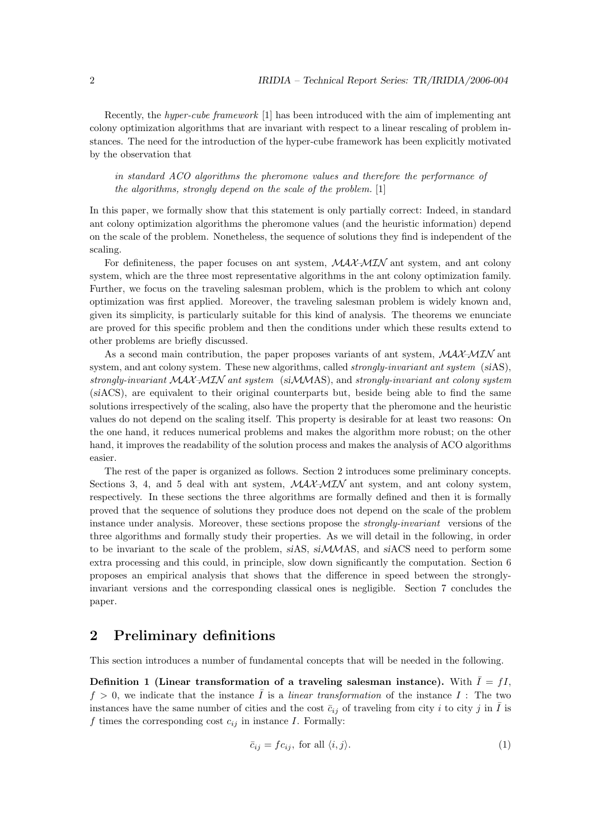Recently, the hyper-cube framework [1] has been introduced with the aim of implementing ant colony optimization algorithms that are invariant with respect to a linear rescaling of problem instances. The need for the introduction of the hyper-cube framework has been explicitly motivated by the observation that

in standard ACO algorithms the pheromone values and therefore the performance of the algorithms, strongly depend on the scale of the problem. [1]

In this paper, we formally show that this statement is only partially correct: Indeed, in standard ant colony optimization algorithms the pheromone values (and the heuristic information) depend on the scale of the problem. Nonetheless, the sequence of solutions they find is independent of the scaling.

For definiteness, the paper focuses on ant system,  $\mathcal{M} \mathcal{A} \mathcal{X} \mathcal{M} \mathcal{I} \mathcal{N}$  ant system, and ant colony system, which are the three most representative algorithms in the ant colony optimization family. Further, we focus on the traveling salesman problem, which is the problem to which ant colony optimization was first applied. Moreover, the traveling salesman problem is widely known and, given its simplicity, is particularly suitable for this kind of analysis. The theorems we enunciate are proved for this specific problem and then the conditions under which these results extend to other problems are briefly discussed.

As a second main contribution, the paper proposes variants of ant system,  $MAX-MIN$  ant system, and ant colony system. These new algorithms, called *strongly-invariant ant system* (siAS), strongly-invariant  $MAX-MIN$  ant system (si $MMAS$ ), and strongly-invariant ant colony system (siACS), are equivalent to their original counterparts but, beside being able to find the same solutions irrespectively of the scaling, also have the property that the pheromone and the heuristic values do not depend on the scaling itself. This property is desirable for at least two reasons: On the one hand, it reduces numerical problems and makes the algorithm more robust; on the other hand, it improves the readability of the solution process and makes the analysis of ACO algorithms easier.

The rest of the paper is organized as follows. Section 2 introduces some preliminary concepts. Sections 3, 4, and 5 deal with ant system,  $\mathcal{MAX-MIN}$  ant system, and ant colony system, respectively. In these sections the three algorithms are formally defined and then it is formally proved that the sequence of solutions they produce does not depend on the scale of the problem instance under analysis. Moreover, these sections propose the strongly-invariant versions of the three algorithms and formally study their properties. As we will detail in the following, in order to be invariant to the scale of the problem, siAS, siMMAS, and siACS need to perform some extra processing and this could, in principle, slow down significantly the computation. Section 6 proposes an empirical analysis that shows that the difference in speed between the stronglyinvariant versions and the corresponding classical ones is negligible. Section 7 concludes the paper.

## 2 Preliminary definitions

This section introduces a number of fundamental concepts that will be needed in the following.

Definition 1 (Linear transformation of a traveling salesman instance). With  $\overline{I} = fI$ ,  $f > 0$ , we indicate that the instance  $\overline{I}$  is a linear transformation of the instance  $I$ : The two instances have the same number of cities and the cost  $\bar{c}_{ij}$  of traveling from city i to city j in  $\bar{I}$  is f times the corresponding cost  $c_{ij}$  in instance I. Formally:

$$
\bar{c}_{ij} = f c_{ij}, \text{ for all } \langle i, j \rangle. \tag{1}
$$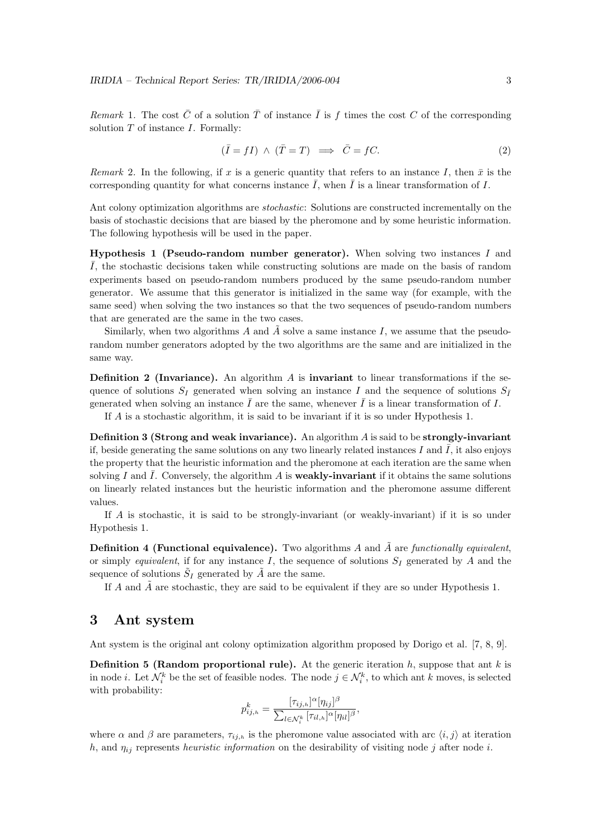Remark 1. The cost  $\bar{C}$  of a solution  $\bar{T}$  of instance  $\bar{I}$  is f times the cost C of the corresponding solution  $T$  of instance  $I$ . Formally:

$$
(\bar{I} = fI) \land (\bar{T} = T) \implies \bar{C} = fC.
$$
\n(2)

Remark 2. In the following, if x is a generic quantity that refers to an instance I, then  $\bar{x}$  is the corresponding quantity for what concerns instance  $\overline{I}$ , when  $\overline{I}$  is a linear transformation of I.

Ant colony optimization algorithms are stochastic: Solutions are constructed incrementally on the basis of stochastic decisions that are biased by the pheromone and by some heuristic information. The following hypothesis will be used in the paper.

**Hypothesis 1 (Pseudo-random number generator).** When solving two instances I and  $\overline{I}$ , the stochastic decisions taken while constructing solutions are made on the basis of random experiments based on pseudo-random numbers produced by the same pseudo-random number generator. We assume that this generator is initialized in the same way (for example, with the same seed) when solving the two instances so that the two sequences of pseudo-random numbers that are generated are the same in the two cases.

Similarly, when two algorithms A and  $\tilde{A}$  solve a same instance I, we assume that the pseudorandom number generators adopted by the two algorithms are the same and are initialized in the same way.

**Definition 2 (Invariance).** An algorithm A is **invariant** to linear transformations if the sequence of solutions  $S_I$  generated when solving an instance I and the sequence of solutions  $S_{\bar{I}}$ generated when solving an instance  $\overline{I}$  are the same, whenever  $\overline{I}$  is a linear transformation of I.

If A is a stochastic algorithm, it is said to be invariant if it is so under Hypothesis 1.

**Definition 3 (Strong and weak invariance).** An algorithm  $A$  is said to be strongly-invariant if, beside generating the same solutions on any two linearly related instances I and I, it also enjoys the property that the heuristic information and the pheromone at each iteration are the same when solving I and  $\overline{I}$ . Conversely, the algorithm A is **weakly-invariant** if it obtains the same solutions on linearly related instances but the heuristic information and the pheromone assume different values.

If A is stochastic, it is said to be strongly-invariant (or weakly-invariant) if it is so under Hypothesis 1.

**Definition 4 (Functional equivalence).** Two algorithms  $A$  and  $A$  are functionally equivalent, or simply equivalent, if for any instance I, the sequence of solutions  $S_I$  generated by A and the sequence of solutions  $\tilde{S}_I$  generated by  $\tilde{A}$  are the same.

If A and  $\tilde{A}$  are stochastic, they are said to be equivalent if they are so under Hypothesis 1.

### 3 Ant system

Ant system is the original ant colony optimization algorithm proposed by Dorigo et al. [7, 8, 9].

**Definition 5 (Random proportional rule).** At the generic iteration  $h$ , suppose that ant  $k$  is in node *i*. Let  $\mathcal{N}_i^k$  be the set of feasible nodes. The node  $j \in \mathcal{N}_i^k$ , to which ant k moves, is selected with probability:

$$
p_{ij,h}^k = \frac{[\tau_{ij,h}]^{\alpha} [\eta_{ij}]^{\beta}}{\sum_{l \in \mathcal{N}_i^k} [\tau_{il,h}]^{\alpha} [\eta_{il}]^{\beta}},
$$

where  $\alpha$  and  $\beta$  are parameters,  $\tau_{ij,h}$  is the pheromone value associated with arc  $\langle i, j \rangle$  at iteration h, and  $\eta_{ij}$  represents heuristic information on the desirability of visiting node j after node i.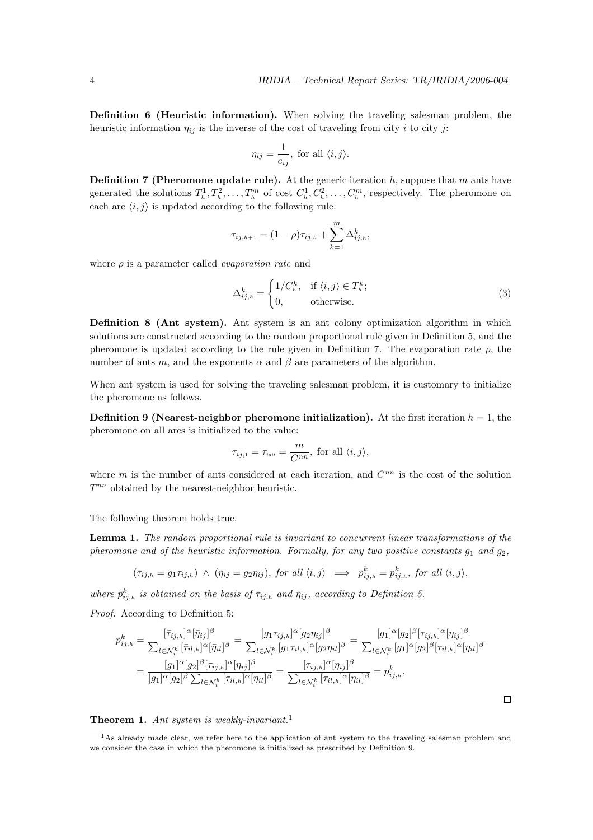Definition 6 (Heuristic information). When solving the traveling salesman problem, the heuristic information  $\eta_{ij}$  is the inverse of the cost of traveling from city i to city j:

$$
\eta_{ij} = \frac{1}{c_{ij}}, \text{ for all } \langle i, j \rangle.
$$

**Definition 7 (Pheromone update rule).** At the generic iteration h, suppose that m ants have generated the solutions  $T_h^1, T_h^2, \ldots, T_h^m$  of cost  $C_h^1, C_h^2, \ldots, C_h^m$ , respectively. The pheromone on each arc  $\langle i, j \rangle$  is updated according to the following rule:

$$
\tau_{ij,h+1} = (1 - \rho)\tau_{ij,h} + \sum_{k=1}^{m} \Delta_{ij,h}^{k},
$$

where  $\rho$  is a parameter called *evaporation rate* and

$$
\Delta_{ij,h}^k = \begin{cases} 1/C_h^k, & \text{if } \langle i,j \rangle \in T_h^k; \\ 0, & \text{otherwise.} \end{cases}
$$
 (3)

Definition 8 (Ant system). Ant system is an ant colony optimization algorithm in which solutions are constructed according to the random proportional rule given in Definition 5, and the pheromone is updated according to the rule given in Definition 7. The evaporation rate  $\rho$ , the number of ants m, and the exponents  $\alpha$  and  $\beta$  are parameters of the algorithm.

When ant system is used for solving the traveling salesman problem, it is customary to initialize the pheromone as follows.

**Definition 9 (Nearest-neighbor pheromone initialization).** At the first iteration  $h = 1$ , the pheromone on all arcs is initialized to the value:

$$
\tau_{ij,1} = \tau_{\text{init}} = \frac{m}{C^{nn}}, \text{ for all } \langle i, j \rangle,
$$

where  $m$  is the number of ants considered at each iteration, and  $C^{nn}$  is the cost of the solution  $T^{nn}$  obtained by the nearest-neighbor heuristic.

The following theorem holds true.

Lemma 1. The random proportional rule is invariant to concurrent linear transformations of the pheromone and of the heuristic information. Formally, for any two positive constants  $g_1$  and  $g_2$ ,

$$
(\bar{\tau}_{ij,h}=g_1\tau_{ij,h}) \ \wedge \ (\bar{\eta}_{ij}=g_2\eta_{ij}), \ for \ all \ \langle i,j\rangle \implies \ \bar{p}_{ij,h}^k=p_{ij,h}^k, \ for \ all \ \langle i,j\rangle,
$$

where  $\bar{p}_{ij,h}^k$  is obtained on the basis of  $\bar{\tau}_{ij,h}$  and  $\bar{\eta}_{ij}$ , according to Definition 5.

Proof. According to Definition 5:

$$
\bar{p}_{ij,h}^k = \frac{[\bar{\tau}_{ij,h}]^{\alpha}[\bar{\eta}_{ij}]^{\beta}}{\sum_{l \in \mathcal{N}_i^k} [\bar{\tau}_{il,h}]^{\alpha}[\bar{\eta}_{il}]^{\beta}} = \frac{[g_1 \tau_{ij,h}]^{\alpha} [g_2 \eta_{ij}]^{\beta}}{\sum_{l \in \mathcal{N}_i^k} [g_1 \tau_{il,h}]^{\alpha} [g_2 \eta_{il}]^{\beta}} = \frac{[g_1]^{\alpha} [g_2]^{\beta} [\bar{\tau}_{ij,h}]^{\alpha} [\eta_{ij}]^{\beta}}{\sum_{l \in \mathcal{N}_i^k} [g_1]^{\alpha} [g_2]^{\beta} [\bar{\tau}_{il,h}]^{\alpha} [\eta_{il}]^{\beta}}
$$
\n
$$
= \frac{[g_1]^{\alpha} [g_2]^{\beta} [\bar{\tau}_{ij,h}]^{\alpha} [\eta_{ij}]^{\beta}}{[g_1]^{\alpha} [g_2]^{\beta} \sum_{l \in \mathcal{N}_i^k} [\bar{\tau}_{il,h}]^{\alpha} [\eta_{il}]^{\beta}} = \frac{[\bar{\tau}_{ij,h}]^{\alpha} [\eta_{ij}]^{\beta}}{\sum_{l \in \mathcal{N}_i^k} [\bar{\tau}_{il,h}]^{\alpha} [\eta_{il}]^{\beta}} = p_{ij,h}^k.
$$

Theorem 1. Ant system is weakly-invariant.<sup>1</sup>

 $\Box$ 

<sup>&</sup>lt;sup>1</sup>As already made clear, we refer here to the application of ant system to the traveling salesman problem and we consider the case in which the pheromone is initialized as prescribed by Definition 9.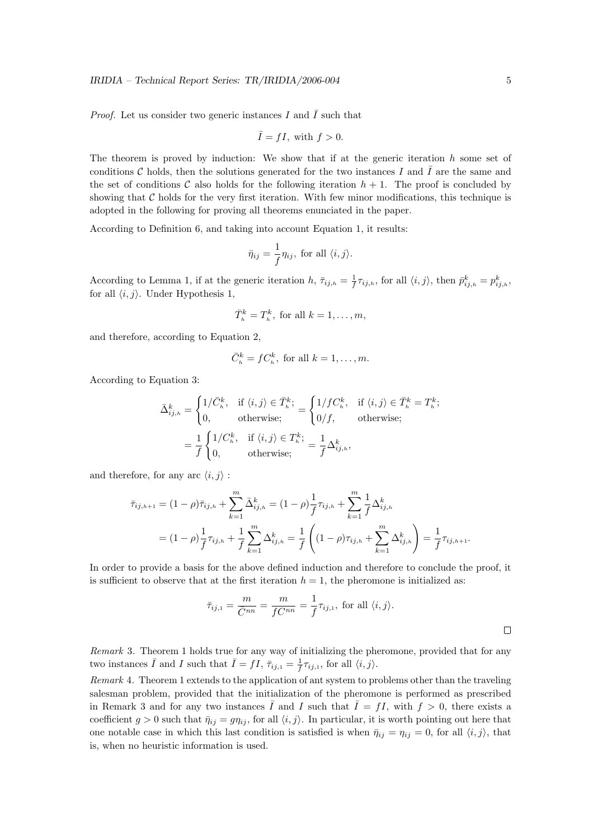*Proof.* Let us consider two generic instances I and  $\overline{I}$  such that

$$
\bar{I} = fI, \text{ with } f > 0.
$$

The theorem is proved by induction: We show that if at the generic iteration  $h$  some set of conditions C holds, then the solutions generated for the two instances I and  $\overline{I}$  are the same and the set of conditions C also holds for the following iteration  $h + 1$ . The proof is concluded by showing that  $C$  holds for the very first iteration. With few minor modifications, this technique is adopted in the following for proving all theorems enunciated in the paper.

According to Definition 6, and taking into account Equation 1, it results:

$$
\bar{\eta}_{ij} = \frac{1}{f} \eta_{ij}, \text{ for all } \langle i, j \rangle.
$$

According to Lemma 1, if at the generic iteration  $h, \bar{\tau}_{ij,h} = \frac{1}{f}$  $\frac{1}{f} \tau_{ij,h}$ , for all  $\langle i, j \rangle$ , then  $\bar{p}_{ij,h}^k = p_{ij,h}^k$ , for all  $\langle i, j \rangle$ . Under Hypothesis 1,

$$
\bar{T}_h^k = T_h^k
$$
, for all  $k = 1, \ldots, m$ ,

and therefore, according to Equation 2,

$$
\bar{C}_h^k = fC_h^k
$$
, for all  $k = 1, ..., m$ .

According to Equation 3:

$$
\bar{\Delta}_{ij,h}^k = \begin{cases}\n1/\bar{C}_h^k, & \text{if } \langle i,j \rangle \in \bar{T}_h^k; \\
0, & \text{otherwise;} \end{cases} = \begin{cases}\n1/f C_h^k, & \text{if } \langle i,j \rangle \in \bar{T}_h^k = T_h^k; \\
0/f, & \text{otherwise;} \end{cases}
$$
\n
$$
= \frac{1}{f} \begin{cases}\n1/C_h^k, & \text{if } \langle i,j \rangle \in T_h^k; \\
0, & \text{otherwise;} \end{cases} = \frac{1}{f} \Delta_{ij,h}^k,
$$

and therefore, for any arc  $\langle i, j \rangle$  :

$$
\bar{\tau}_{ij,h+1} = (1 - \rho)\bar{\tau}_{ij,h} + \sum_{k=1}^{m} \bar{\Delta}_{ij,h}^{k} = (1 - \rho)\frac{1}{f}\tau_{ij,h} + \sum_{k=1}^{m} \frac{1}{f}\Delta_{ij,h}^{k}
$$

$$
= (1 - \rho)\frac{1}{f}\tau_{ij,h} + \frac{1}{f}\sum_{k=1}^{m} \Delta_{ij,h}^{k} = \frac{1}{f}\left((1 - \rho)\tau_{ij,h} + \sum_{k=1}^{m} \Delta_{ij,h}^{k}\right) = \frac{1}{f}\tau_{ij,h+1}.
$$

In order to provide a basis for the above defined induction and therefore to conclude the proof, it is sufficient to observe that at the first iteration  $h = 1$ , the pheromone is initialized as:

$$
\bar{\tau}_{ij,1} = \frac{m}{\bar{C}^{nn}} = \frac{m}{fC^{nn}} = \frac{1}{f}\tau_{ij,1}, \text{ for all } \langle i,j \rangle.
$$

Remark 3. Theorem 1 holds true for any way of initializing the pheromone, provided that for any two instances  $\overline{I}$  and  $I$  such that  $\overline{I} = fI$ ,  $\overline{\tau}_{ij,1} = \frac{1}{f}$  $\frac{1}{f}\tau_{ij,1}$ , for all  $\langle i, j \rangle$ .

Remark 4. Theorem 1 extends to the application of ant system to problems other than the traveling salesman problem, provided that the initialization of the pheromone is performed as prescribed in Remark 3 and for any two instances  $\overline{I}$  and I such that  $\overline{I} = fI$ , with  $f > 0$ , there exists a coefficient  $g > 0$  such that  $\bar{\eta}_{ij} = g\eta_{ij}$ , for all  $\langle i, j \rangle$ . In particular, it is worth pointing out here that one notable case in which this last condition is satisfied is when  $\bar{\eta}_{ij} = \eta_{ij} = 0$ , for all  $\langle i, j \rangle$ , that is, when no heuristic information is used.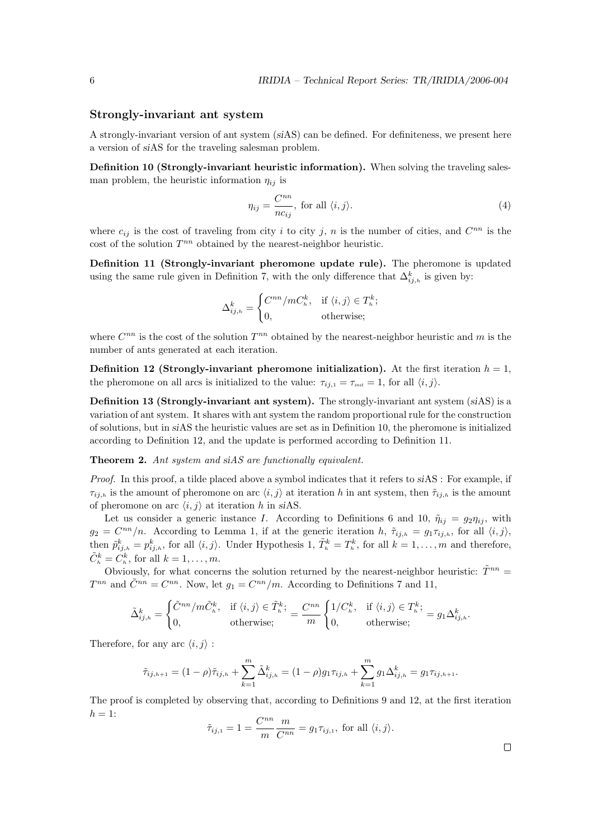#### Strongly-invariant ant system

A strongly-invariant version of ant system (siAS) can be defined. For definiteness, we present here a version of siAS for the traveling salesman problem.

Definition 10 (Strongly-invariant heuristic information). When solving the traveling salesman problem, the heuristic information  $\eta_{ij}$  is

$$
\eta_{ij} = \frac{C^{nn}}{nc_{ij}}, \text{ for all } \langle i, j \rangle.
$$
 (4)

where  $c_{ij}$  is the cost of traveling from city i to city j, n is the number of cities, and  $C^{nn}$  is the cost of the solution  $T^{nn}$  obtained by the nearest-neighbor heuristic.

Definition 11 (Strongly-invariant pheromone update rule). The pheromone is updated using the same rule given in Definition 7, with the only difference that  $\Delta_{ij,h}^k$  is given by:

$$
\Delta_{ij,h}^k = \begin{cases} C^{nn} / mC_h^k, & \text{if } \langle i,j \rangle \in T_h^k; \\ 0, & \text{otherwise}; \end{cases}
$$

where  $C^{nn}$  is the cost of the solution  $T^{nn}$  obtained by the nearest-neighbor heuristic and m is the number of ants generated at each iteration.

**Definition 12 (Strongly-invariant pheromone initialization).** At the first iteration  $h = 1$ , the pheromone on all arcs is initialized to the value:  $\tau_{ij,1} = \tau_{\text{init}} = 1$ , for all  $\langle i, j \rangle$ .

Definition 13 (Strongly-invariant ant system). The strongly-invariant ant system (siAS) is a variation of ant system. It shares with ant system the random proportional rule for the construction of solutions, but in siAS the heuristic values are set as in Definition 10, the pheromone is initialized according to Definition 12, and the update is performed according to Definition 11.

Theorem 2. Ant system and siAS are functionally equivalent.

Proof. In this proof, a tilde placed above a symbol indicates that it refers to siAS : For example, if  $\tau_{ij,h}$  is the amount of pheromone on arc  $\langle i, j \rangle$  at iteration h in ant system, then  $\tilde{\tau}_{ij,h}$  is the amount of pheromone on arc  $\langle i, j \rangle$  at iteration h in siAS.

Let us consider a generic instance I. According to Definitions 6 and 10,  $\tilde{\eta}_{ij} = g_2 \eta_{ij}$ , with  $g_2 = C^{nn}/n$ . According to Lemma 1, if at the generic iteration h,  $\tilde{\tau}_{ij,h} = g_1 \tau_{ij,h}$ , for all  $\langle i, j \rangle$ , then  $\tilde{p}_{ij,h}^k = p_{ij,h}^k$ , for all  $\langle i,j \rangle$ . Under Hypothesis 1,  $\tilde{T}_h^k = T_h^k$ , for all  $k = 1, \ldots, m$  and therefore,  $\tilde{C}_h^k = C_h^k$ , for all  $k = 1, \ldots, m$ .

Obviously, for what concerns the solution returned by the nearest-neighbor heuristic:  $\tilde{T}^{nn}$  =  $T^{nn}$  and  $\tilde{C}^{nn} = C^{nn}$ . Now, let  $g_1 = C^{nn}/m$ . According to Definitions 7 and 11,

$$
\tilde{\Delta}_{ij,h}^k = \begin{cases}\n\tilde{C}^{nn}/m\tilde{C}_h^k, & \text{if } \langle i,j \rangle \in \tilde{T}_h^k; \\
0, & \text{otherwise};\n\end{cases} = \frac{C^{nn}}{m} \begin{cases}\n1/C_h^k, & \text{if } \langle i,j \rangle \in T_h^k; \\
0, & \text{otherwise};\n\end{cases} = g_1 \Delta_{ij,h}^k.
$$

Therefore, for any arc  $\langle i, j \rangle$  :

$$
\tilde{\tau}_{ij,h+1} = (1 - \rho)\tilde{\tau}_{ij,h} + \sum_{k=1}^{m} \tilde{\Delta}_{ij,h}^{k} = (1 - \rho)g_1 \tau_{ij,h} + \sum_{k=1}^{m} g_1 \Delta_{ij,h}^{k} = g_1 \tau_{ij,h+1}.
$$

The proof is completed by observing that, according to Definitions 9 and 12, at the first iteration  $h = 1$ : nn

$$
\tilde{\tau}_{ij,1} = 1 = \frac{C^{nn}}{m} \frac{m}{C^{nn}} = g_1 \tau_{ij,1}, \text{ for all } \langle i, j \rangle.
$$

 $\Box$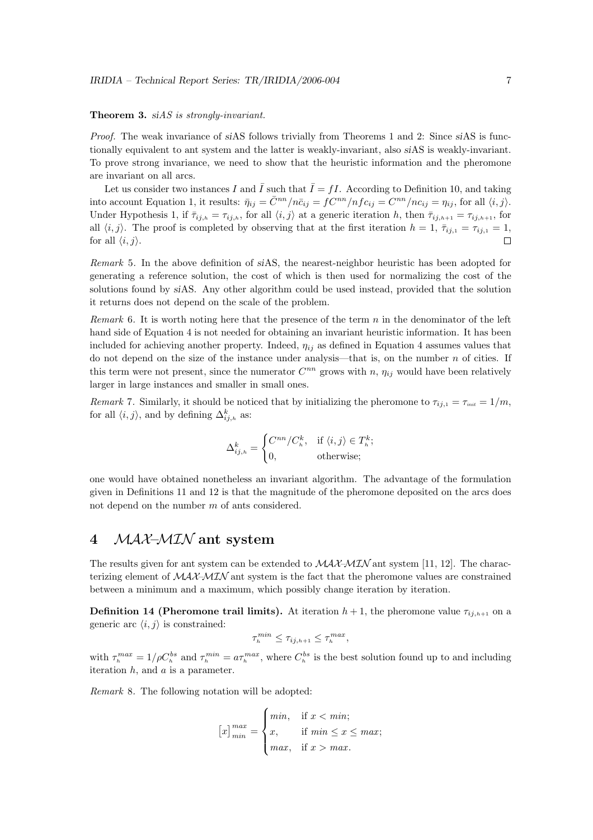#### Theorem 3. siAS is strongly-invariant.

Proof. The weak invariance of siAS follows trivially from Theorems 1 and 2: Since siAS is functionally equivalent to ant system and the latter is weakly-invariant, also siAS is weakly-invariant. To prove strong invariance, we need to show that the heuristic information and the pheromone are invariant on all arcs.

Let us consider two instances I and  $\overline{I}$  such that  $\overline{I} = fI$ . According to Definition 10, and taking into account Equation 1, it results:  $\bar{\eta}_{ij} = \bar{C}^{nn}/n\bar{c}_{ij} = fC^{nn}/nfc_{ij} = C^{nn}/nc_{ij} = \eta_{ij}$ , for all  $\langle i, j \rangle$ . Under Hypothesis 1, if  $\bar{\tau}_{ij,h} = \tau_{ij,h}$ , for all  $\langle i, j \rangle$  at a generic iteration h, then  $\bar{\tau}_{ij,h+1} = \tau_{ij,h+1}$ , for all  $\langle i, j \rangle$ . The proof is completed by observing that at the first iteration  $h = 1, \bar{\tau}_{ij,1} = \tau_{ij,1} = 1$ , for all  $\langle i, j \rangle$ .

Remark 5. In the above definition of siAS, the nearest-neighbor heuristic has been adopted for generating a reference solution, the cost of which is then used for normalizing the cost of the solutions found by siAS. Any other algorithm could be used instead, provided that the solution it returns does not depend on the scale of the problem.

Remark 6. It is worth noting here that the presence of the term  $n$  in the denominator of the left hand side of Equation 4 is not needed for obtaining an invariant heuristic information. It has been included for achieving another property. Indeed,  $\eta_{ij}$  as defined in Equation 4 assumes values that do not depend on the size of the instance under analysis—that is, on the number  $n$  of cities. If this term were not present, since the numerator  $C^{nn}$  grows with n,  $\eta_{ij}$  would have been relatively larger in large instances and smaller in small ones.

Remark 7. Similarly, it should be noticed that by initializing the pheromone to  $\tau_{i,j,1} = \tau_{\text{init}} = 1/m$ , for all  $\langle i, j \rangle$ , and by defining  $\Delta_{ij,h}^k$  as:

$$
\Delta_{ij,h}^k = \begin{cases} C^{nn}/C_h^k, & \text{if } \langle i,j \rangle \in T_h^k; \\ 0, & \text{otherwise}; \end{cases}
$$

one would have obtained nonetheless an invariant algorithm. The advantage of the formulation given in Definitions 11 and 12 is that the magnitude of the pheromone deposited on the arcs does not depend on the number m of ants considered.

## 4 MAX–MIN ant system

The results given for ant system can be extended to  $MAX-MIN$  ant system [11, 12]. The characterizing element of  $\mathcal{MAX}$ – $\mathcal{MIN}$  ant system is the fact that the pheromone values are constrained between a minimum and a maximum, which possibly change iteration by iteration.

**Definition 14 (Pheromone trail limits).** At iteration  $h+1$ , the pheromone value  $\tau_{i,h+1}$  on a generic arc  $\langle i, j \rangle$  is constrained:

$$
\tau_h^{min} \leq \tau_{ij,h+1} \leq \tau_h^{max},
$$

with  $\tau_h^{max} = 1/\rho C_h^{bs}$  and  $\tau_h^{min} = a\tau_h^{max}$ , where  $C_h^{bs}$  is the best solution found up to and including iteration  $h$ , and  $a$  is a parameter.

Remark 8. The following notation will be adopted:

$$
[x]_{min}^{max} = \begin{cases} min, & \text{if } x < min; \\ x, & \text{if } min \le x \le max; \\ max, & \text{if } x > max. \end{cases}
$$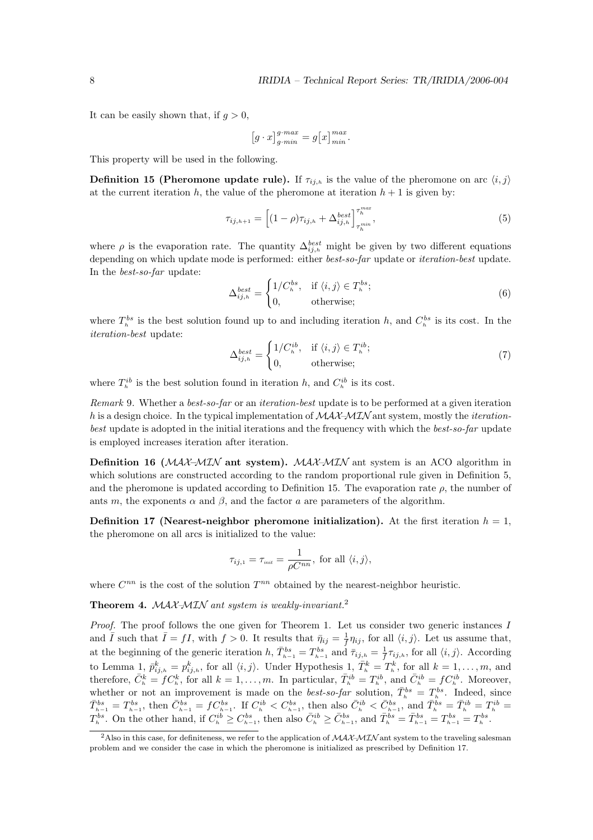It can be easily shown that, if  $q > 0$ ,

$$
\left[g \cdot x\right]_{g \cdot min}^{g \cdot max} = g\left[x\right]_{min}^{max}.
$$

This property will be used in the following.

**Definition 15 (Pheromone update rule).** If  $\tau_{ij,h}$  is the value of the pheromone on arc  $\langle i, j \rangle$ at the current iteration h, the value of the pheromone at iteration  $h + 1$  is given by:

$$
\tau_{ij,h+1} = \left[ (1 - \rho)\tau_{ij,h} + \Delta_{ij,h}^{best} \right]_{\tau_h^{min}}^{\tau_h^{max}},
$$
\n(5)

where  $\rho$  is the evaporation rate. The quantity  $\Delta_{ij,h}^{best}$  might be given by two different equations depending on which update mode is performed: either *best-so-far* update or *iteration-best* update. In the best-so-far update:

$$
\Delta_{ij,h}^{best} = \begin{cases} 1/C_h^{bs}, & \text{if } \langle i,j \rangle \in T_h^{bs}; \\ 0, & \text{otherwise}; \end{cases}
$$
 (6)

where  $T_h^{bs}$  is the best solution found up to and including iteration h, and  $C_h^{bs}$  is its cost. In the iteration-best update:

$$
\Delta_{ij,h}^{best} = \begin{cases} 1/C_h^{ib}, & \text{if } \langle i,j \rangle \in T_h^{ib}; \\ 0, & \text{otherwise}; \end{cases}
$$
\n(7)

where  $T_h^{ib}$  is the best solution found in iteration h, and  $C_h^{ib}$  is its cost.

Remark 9. Whether a *best-so-far* or an *iteration-best* update is to be performed at a given iteration h is a design choice. In the typical implementation of  $MAX-MIN$  ant system, mostly the *iteration*best update is adopted in the initial iterations and the frequency with which the best-so-far update is employed increases iteration after iteration.

**Definition 16** ( $\mathcal{MAX}-\mathcal{MIN}$  ant system).  $\mathcal{MAX}-\mathcal{MIN}$  ant system is an ACO algorithm in which solutions are constructed according to the random proportional rule given in Definition 5, and the pheromone is updated according to Definition 15. The evaporation rate  $\rho$ , the number of ants m, the exponents  $\alpha$  and  $\beta$ , and the factor a are parameters of the algorithm.

**Definition 17 (Nearest-neighbor pheromone initialization).** At the first iteration  $h = 1$ , the pheromone on all arcs is initialized to the value:

$$
\tau_{ij,1} = \tau_{\text{init}} = \frac{1}{\rho C^{nn}}, \text{ for all } \langle i, j \rangle,
$$

where  $C^{nn}$  is the cost of the solution  $T^{nn}$  obtained by the nearest-neighbor heuristic.

Theorem 4. MAX-MIN ant system is weakly-invariant.<sup>2</sup>

Proof. The proof follows the one given for Theorem 1. Let us consider two generic instances I and  $\overline{I}$  such that  $\overline{I} = fI$ , with  $f > 0$ . It results that  $\overline{\eta}_{ij} = \frac{1}{f}$  $\frac{1}{f}\eta_{ij}$ , for all  $\langle i, j \rangle$ . Let us assume that, at the beginning of the generic iteration  $h, \bar{T}_{h-1}^{bs} = T_{h-1}^{bs}$  and  $\bar{\tau}_{ij,h} = \frac{1}{f}\tau_{ij,h}$ , for all  $\langle i, j \rangle$ . According f to Lemma 1,  $\bar{p}_{ij,h}^k = p_{ij,h}^k$ , for all  $\langle i,j \rangle$ . Under Hypothesis 1,  $\bar{T}_h^k = T_h^k$ , for all  $k = 1, \ldots, m$ , and therefore,  $\bar{C}_h^k = fC_h^k$ , for all  $k = 1, \ldots, m$ . In particular,  $\bar{T}_h^{ib} = T_h^{ib}$ , and  $\bar{C}_h^{ib} = fC_h^{ib}$ . Moreover, whether or not an improvement is made on the *best-so-far* solution,  $\bar{T}_{h}^{bs} = T_{h}^{bs}$ . Indeed, since  $\bar{T}^{bs}_{h-1} = T^{bs}_{h-1}$ , then  $\bar{C}^{bs}_{h-1} = fC^{bs}_{h-1}$ . If  $C^{ib}_h < C^{bs}_{h-1}$ , then also  $\bar{C}^{ib}_h < \bar{C}^{bs}_{h-1}$ , and  $\bar{T}^{bs}_h = \bar{T}^{ib}_h = T^{ib}_h = T^{ib}_h$  $T_h^{bs}$ . On the other hand, if  $C_h^{ib} \geq C_{h-1}^{bs}$ , then also  $\bar{C}_h^{ib} \geq \bar{C}_{h-1}^{bs}$ , and  $\bar{T}_h^{bs} = \bar{T}_{h-1}^{bs} = T_{h-1}^{bs} = T_h^{bs}$ .

<sup>&</sup>lt;sup>2</sup>Also in this case, for definiteness, we refer to the application of  $\mathcal{MAX}\text{-}\mathcal{MIN}$  ant system to the traveling salesman problem and we consider the case in which the pheromone is initialized as prescribed by Definition 17.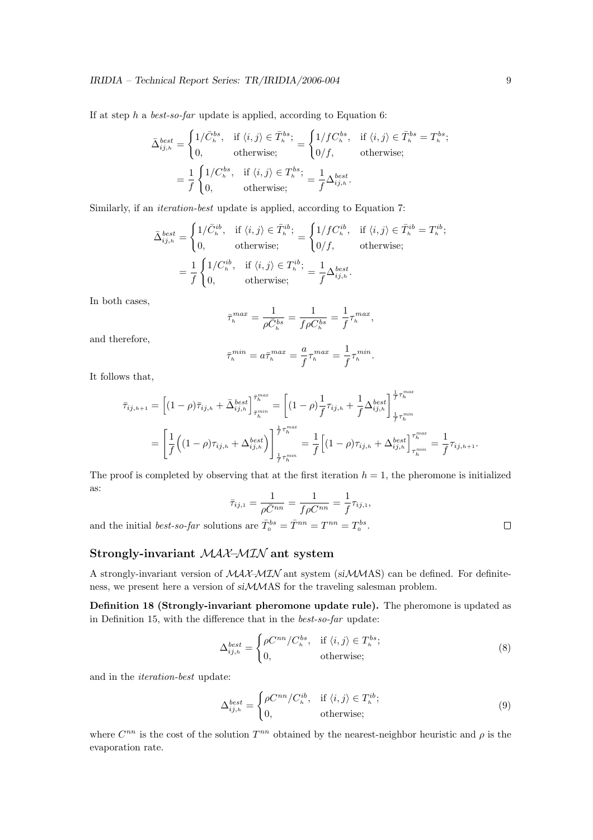If at step h a best-so-far update is applied, according to Equation 6:

$$
\bar{\Delta}_{ij,h}^{best} = \begin{cases}\n1/\bar{C}_h^{bs}, & \text{if } \langle i,j \rangle \in \bar{T}_h^{bs}; \\
0, & \text{otherwise};\n\end{cases} = \begin{cases}\n1/f C_h^{bs}, & \text{if } \langle i,j \rangle \in \bar{T}_h^{bs} = T_h^{bs}; \\
0/f, & \text{otherwise};\n\end{cases}
$$
\n
$$
= \frac{1}{f} \begin{cases}\n1/C_h^{bs}, & \text{if } \langle i,j \rangle \in T_h^{bs}; \\
0, & \text{otherwise};\n\end{cases} = \frac{1}{f} \Delta_{ij,h}^{best}.
$$

Similarly, if an *iteration-best* update is applied, according to Equation 7:

$$
\bar{\Delta}_{ij,h}^{best} = \begin{cases}\n1/\bar{C}_h^{ib}, & \text{if } \langle i,j \rangle \in \bar{T}_h^{ib}; \\
0, & \text{otherwise};\n\end{cases} = \begin{cases}\n1/f C_h^{ib}, & \text{if } \langle i,j \rangle \in \bar{T}_h^{ib} = T_h^{ib}; \\
0/f, & \text{otherwise};\n\end{cases}
$$
\n
$$
= \frac{1}{f} \begin{cases}\n1/C_h^{ib}, & \text{if } \langle i,j \rangle \in T_h^{ib}; \\
0, & \text{otherwise};\n\end{cases} = \frac{1}{f} \Delta_{ij,h}^{best}.
$$

In both cases,

$$
\bar{\tau}_h^{max} = \frac{1}{\rho \bar{C}_h^{bs}} = \frac{1}{f \rho C_h^{bs}} = \frac{1}{f} \tau_h^{max},
$$

and therefore,

$$
\bar{\tau}_h^{min} = a \bar{\tau}_h^{max} = \frac{a}{f} \tau_h^{max} = \frac{1}{f} \tau_h^{min}.
$$

It follows that,

$$
\bar{\tau}_{ij,h+1} = \left[ (1-\rho)\bar{\tau}_{ij,h} + \bar{\Delta}_{ij,h}^{best} \right]_{\bar{\tau}_{h}^{min}}^{\bar{\tau}_{h}^{max}} = \left[ (1-\rho)\frac{1}{f}\tau_{ij,h} + \frac{1}{f}\Delta_{ij,h}^{best} \right]_{\frac{1}{f}\tau_{h}^{min}}^{\frac{1}{f}\tau_{h}^{max}} \n= \left[ \frac{1}{f} \left( (1-\rho)\tau_{ij,h} + \Delta_{ij,h}^{best} \right) \right]_{\frac{1}{f}\tau_{h}^{min}}^{\frac{1}{f}\tau_{h}^{max}} = \frac{1}{f} \left[ (1-\rho)\tau_{ij,h} + \Delta_{ij,h}^{best} \right]_{\tau_{h}^{min}}^{\tau_{h}^{max}} = \frac{1}{f}\tau_{ij,h+1}.
$$

The proof is completed by observing that at the first iteration  $h = 1$ , the pheromone is initialized as:

$$
\bar{\tau}_{ij,1} = \frac{1}{\rho \bar{C}^{nn}} = \frac{1}{f \rho C^{nn}} = \frac{1}{f} \tau_{ij,1},
$$
  
and the initial *best-so-far* solutions are  $\bar{T}_0^{bs} = \bar{T}^{nn} = T^{nn} = T_0^{bs}$ .

## Strongly-invariant MAX–MIN ant system

A strongly-invariant version of MAX–MIN ant system (siMMAS) can be defined. For definiteness, we present here a version of siMMAS for the traveling salesman problem.

Definition 18 (Strongly-invariant pheromone update rule). The pheromone is updated as in Definition 15, with the difference that in the best-so-far update:

$$
\Delta_{ij,h}^{best} = \begin{cases}\n\rho C^{nn} / C_h^{bs}, & \text{if } \langle i, j \rangle \in T_h^{bs}; \\
0, & \text{otherwise};\n\end{cases}
$$
\n(8)

and in the iteration-best update:

$$
\Delta_{ij,h}^{best} = \begin{cases}\n\rho C^{nn} / C_h^{ib}, & \text{if } \langle i, j \rangle \in T_h^{ib}; \\
0, & \text{otherwise};\n\end{cases}
$$
\n(9)

where  $C^{nn}$  is the cost of the solution  $T^{nn}$  obtained by the nearest-neighbor heuristic and  $\rho$  is the evaporation rate.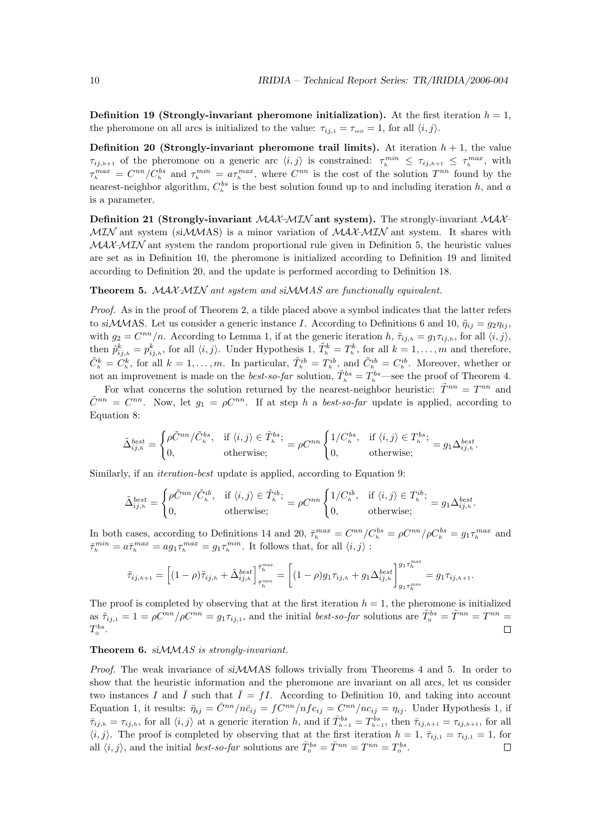**Definition 19 (Strongly-invariant pheromone initialization).** At the first iteration  $h = 1$ , the pheromone on all arcs is initialized to the value:  $\tau_{ij,1} = \tau_{\text{init}} = 1$ , for all  $\langle i, j \rangle$ .

**Definition 20 (Strongly-invariant pheromone trail limits).** At iteration  $h + 1$ , the value  $\tau_{ij,h+1}$  of the pheromone on a generic arc  $\langle i,j \rangle$  is constrained:  $\tau_{i}^{min} \leq \tau_{ij,h+1} \leq \tau_{i}^{max}$ , with  $\tau_h^{max} = C^{nn}/C_h^{bs}$  and  $\tau_h^{min} = a\tau_h^{max}$ , where  $C^{nn}$  is the cost of the solution  $T^{nn}$  found by the nearest-neighbor algorithm,  $C_h^{bs}$  is the best solution found up to and including iteration h, and a is a parameter.

**Definition 21 (Strongly-invariant MAX–MIN ant system).** The strongly-invariant MAX–  $\mathcal{M} \mathcal{I} \mathcal{N}$  ant system (si $\mathcal{M} \mathcal{M} \mathcal{S}$ ) is a minor variation of  $\mathcal{M} \mathcal{A} \mathcal{X} \mathcal{M} \mathcal{I} \mathcal{N}$  ant system. It shares with  $MAX-MIN$  ant system the random proportional rule given in Definition 5, the heuristic values are set as in Definition 10, the pheromone is initialized according to Definition 19 and limited according to Definition 20, and the update is performed according to Definition 18.

#### Theorem 5. MAX–MIN ant system and siMMAS are functionally equivalent.

Proof. As in the proof of Theorem 2, a tilde placed above a symbol indicates that the latter refers to siMMAS. Let us consider a generic instance I. According to Definitions 6 and 10,  $\tilde{\eta}_{ii} = g_2 \eta_{ii}$ , with  $g_2 = C^{nn}/n$ . According to Lemma 1, if at the generic iteration h,  $\tilde{\tau}_{ij,h} = g_1 \tau_{ij,h}$ , for all  $\langle i, j \rangle$ , then  $\tilde{p}_{ij,h}^k = p_{ij,h}^k$ , for all  $\langle i,j \rangle$ . Under Hypothesis 1,  $\tilde{T}_h^k = T_h^k$ , for all  $k = 1, \ldots, m$  and therefore,  $\tilde{C}_h^k = \tilde{C}_h^k$ , for all  $k = 1, \ldots, m$ . In particular,  $\tilde{T}_h^{ib} = T_h^{ib}$ , and  $\tilde{C}_h^{ib} = C_h^{ib}$ . Moreover, whether or not an improvement is made on the *best-so-far* solution,  $\tilde{T}_h^{bs} = T_h^{bs}$ —see the proof of Theorem 4.

For what concerns the solution returned by the nearest-neighbor heuristic:  $\tilde{T}^{nn} = T^{nn}$  and  $ilde{C}^{nn} = C^{nn}$ . Now, let  $g_1 = \rho C^{nn}$ . If at step h a best-so-far update is applied, according to Equation 8:

$$
\tilde{\Delta}_{ij,h}^{best} = \begin{cases}\n\rho \tilde{C}^{nn} / \tilde{C}_h^{bs}, & \text{if } \langle i,j \rangle \in \tilde{T}_h^{bs}; \\
0, & \text{otherwise};\n\end{cases} = \rho C^{nn} \begin{cases}\n1 / C_h^{bs}, & \text{if } \langle i,j \rangle \in T_h^{bs}; \\
0, & \text{otherwise};\n\end{cases} = g_1 \Delta_{ij,h}^{best}.
$$

Similarly, if an *iteration-best* update is applied, according to Equation 9:

$$
\tilde{\Delta}_{ij,h}^{best} = \begin{cases}\n\rho \tilde{C}^{nn} / \tilde{C}_h^{ib}, & \text{if } \langle i, j \rangle \in \tilde{T}_h^{ib}; \\
0, & \text{otherwise};\n\end{cases} = \rho C^{nn} \begin{cases}\n1 / C_h^{ib}, & \text{if } \langle i, j \rangle \in T_h^{ib}; \\
0, & \text{otherwise};\n\end{cases} = g_1 \Delta_{ij,h}^{best}.
$$

In both cases, according to Definitions 14 and 20,  $\bar{\tau}_h^{max} = C^{nn}/C_h^{bs} = \rho C^{nn}/\rho C_h^{bs} = g_1 \tau_h^{max}$  and  $\bar{\tau}_h^{min} = a \bar{\tau}_h^{max} = a g_1 \tau_h^{max} = g_1 \tau_h^{min}$ . It follows that, for all  $\langle i, j \rangle$ :

$$
\tilde{\tau}_{ij,h+1}=\Big[(1-\rho)\tilde{\tau}_{ij,h}+\tilde{\Delta}_{ij,h}^{best}\Big]^{\bar{\tau}^{max}_h}_{\bar{\tau}^{min}_h}=\Big[(1-\rho)g_1\tau_{ij,h}+g_1\Delta_{ij,h}^{best}\Big]^{g_1\tau_h^{max}}_{g_1\tau_h^{min}}=g_1\tau_{ij,h+1}.
$$

The proof is completed by observing that at the first iteration  $h = 1$ , the pheromone is initialized as  $\tilde{\tau}_{ij,1} = 1 = \rho C^{nn} / \rho C^{nn} = g_1 \tau_{ij,1}$ , and the initial *best-so-far* solutions are  $\tilde{T}_0^{bs} = \tilde{T}^{nn} = T^{nn} = T^{nn}$  $T_0^{bs}$ .  $\Box$ 

#### Theorem 6. si $MMS$  is strongly-invariant.

*Proof.* The weak invariance of  $siMMS$  follows trivially from Theorems 4 and 5. In order to show that the heuristic information and the pheromone are invariant on all arcs, let us consider two instances I and  $\overline{I}$  such that  $\overline{I} = fI$ . According to Definition 10, and taking into account Equation 1, it results:  $\bar{\eta}_{ij} = \bar{C}^{nn}/n\bar{c}_{ij} = fC^{nn}/nf c_{ij} = C^{nn}/nc_{ij} = \eta_{ij}$ . Under Hypothesis 1, if  $\bar{\tau}_{ij,h} = \tau_{ij,h}$ , for all  $\langle i, j \rangle$  at a generic iteration h, and if  $\bar{T}_{h-1}^{bs} = T_{h-1}^{bs}$ , then  $\bar{\tau}_{ij,h+1} = \tau_{ij,h+1}$ , for all  $\langle i, j \rangle$ . The proof is completed by observing that at the first iteration  $h = 1, \overline{\tau}_{ij,1} = \tau_{ij,1} = 1$ , for all  $\langle i, j \rangle$ , and the initial *best-so-far* solutions are  $\bar{T}^{bs}_{0} = \bar{T}^{nn} = T^{nn} = T^{bs}_{0}$ .  $\Box$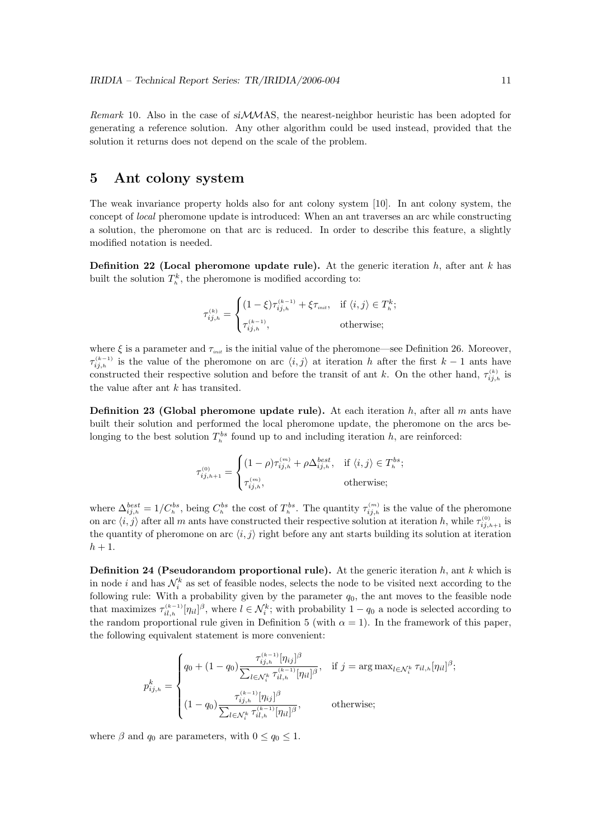Remark 10. Also in the case of siMMAS, the nearest-neighbor heuristic has been adopted for generating a reference solution. Any other algorithm could be used instead, provided that the solution it returns does not depend on the scale of the problem.

## 5 Ant colony system

The weak invariance property holds also for ant colony system [10]. In ant colony system, the concept of local pheromone update is introduced: When an ant traverses an arc while constructing a solution, the pheromone on that arc is reduced. In order to describe this feature, a slightly modified notation is needed.

**Definition 22 (Local pheromone update rule).** At the generic iteration  $h$ , after ant  $k$  has built the solution  $T_k^k$ , the pheromone is modified according to:

$$
\tau_{ij,h}^{(k)} = \begin{cases} (1-\xi)\tau_{ij,h}^{(k-1)} + \xi\tau_{\text{init}}, & \text{if } \langle i,j \rangle \in T_h^k; \\ \tau_{ij,h}^{(k-1)}, & \text{otherwise}; \end{cases}
$$

where  $\xi$  is a parameter and  $\tau_{\text{init}}$  is the initial value of the pheromone—see Definition 26. Moreover,  $\tau_{ij,h}^{(k-1)}$  is the value of the pheromone on arc  $\langle i,j \rangle$  at iteration h after the first  $k-1$  ants have constructed their respective solution and before the transit of ant k. On the other hand,  $\tau_{ij,h}^{(k)}$  is the value after ant  $k$  has transited.

**Definition 23 (Global pheromone update rule).** At each iteration h, after all m ants have built their solution and performed the local pheromone update, the pheromone on the arcs belonging to the best solution  $T_h^{bs}$  found up to and including iteration h, are reinforced:

$$
\tau_{ij,h+1}^{(0)} = \begin{cases} (1-\rho)\tau_{ij,h}^{(m)} + \rho \Delta_{ij,h}^{best}, & \text{if } \langle i,j \rangle \in T_h^{bs}; \\ \tau_{ij,h}^{(m)}, & \text{otherwise}; \end{cases}
$$

where  $\Delta_{ij,h}^{best} = 1/C_h^{bs}$ , being  $C_h^{bs}$  the cost of  $T_h^{bs}$ . The quantity  $\tau_{ij,h}^{(m)}$  is the value of the pheromone on arc  $\langle i, j \rangle$  after all m ants have constructed their respective solution at iteration h, while  $\tau_{ij,h+1}^{(0)}$  is the quantity of pheromone on arc  $\langle i, j \rangle$  right before any ant starts building its solution at iteration  $h+1$ .

**Definition 24 (Pseudorandom proportional rule).** At the generic iteration h, ant k which is in node i and has  $\mathcal{N}_i^k$  as set of feasible nodes, selects the node to be visited next according to the following rule: With a probability given by the parameter  $q_0$ , the ant moves to the feasible node that maximizes  $\tau_{il,h}^{(k-1)}[\eta_{il}]^{\beta}$ , where  $l \in \mathcal{N}_i^k$ ; with probability  $1 - q_0$  a node is selected according to the random proportional rule given in Definition 5 (with  $\alpha = 1$ ). In the framework of this paper, the following equivalent statement is more convenient:

$$
p_{ij,h}^k = \begin{cases} q_0 + (1 - q_0) \frac{\tau_{ij,h}^{(k-1)} [\eta_{ij}]^{\beta}}{\sum_{l \in \mathcal{N}_i^k} \tau_{il,h}^{(k-1)} [\eta_{il}]^{\beta}}, & \text{if } j = \arg \max_{l \in \mathcal{N}_i^k} \tau_{il,h} [\eta_{il}]^{\beta}; \\ (1 - q_0) \frac{\tau_{ij,h}^{(k-1)} [\eta_{ij}]^{\beta}}{\sum_{l \in \mathcal{N}_i^k} \tau_{il,h}^{(k-1)} [\eta_{il}]^{\beta}}, & \text{otherwise}; \end{cases}
$$

where  $\beta$  and  $q_0$  are parameters, with  $0 \leq q_0 \leq 1$ .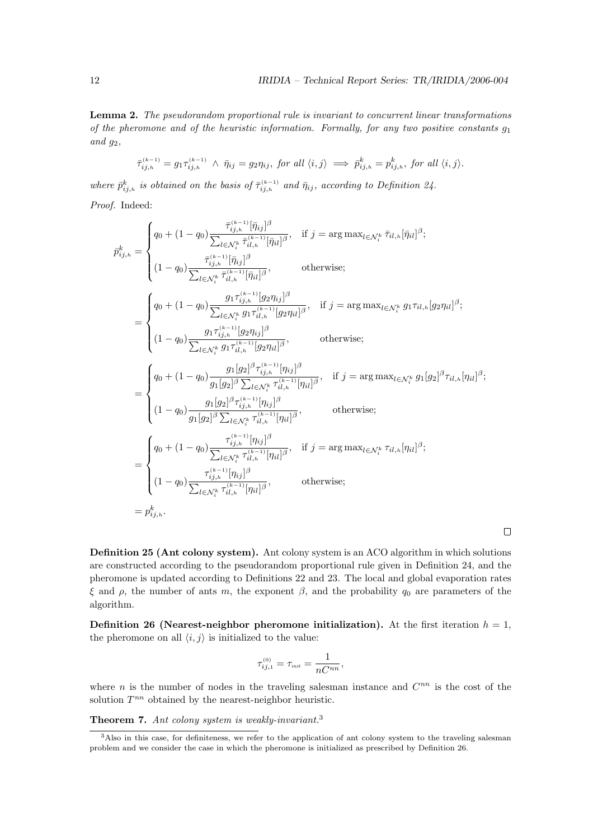$\Box$ 

Lemma 2. The pseudorandom proportional rule is invariant to concurrent linear transformations of the pheromone and of the heuristic information. Formally, for any two positive constants  $g_1$ and  $g_2$ ,

$$
\bar{\tau}_{ij,h}^{(k-1)} = g_1 \tau_{ij,h}^{(k-1)} \wedge \bar{\eta}_{ij} = g_2 \eta_{ij}, \text{ for all } \langle i,j \rangle \implies \bar{p}_{ij,h}^k = p_{ij,h}^k, \text{ for all } \langle i,j \rangle.
$$

where  $\bar{p}_{ij,h}^k$  is obtained on the basis of  $\bar{\tau}_{ij,h}^{(k-1)}$  and  $\bar{\eta}_{ij}$ , according to Definition 24.

Proof. Indeed:

$$
\bar{p}^k_{ij,h} = \begin{cases}\nq_0 + (1 - q_0) \frac{\bar{\tau}^{(k-1)}_{ij,h}[\bar{\eta}_{ij}]^{\beta}}{\sum_{l \in \mathcal{N}^k_i} \bar{\tau}^{(k-1)}_{il,h}[\bar{\eta}_{il}]^{\beta}}, & \text{if } j = \arg \max_{l \in \mathcal{N}^k_i} \bar{\tau}_{il,h}[\bar{\eta}_{il}]^{\beta}; \\
(1 - q_0) \frac{\bar{\tau}^{(k-1)}_{ij,h}[\bar{\eta}_{il}]^{\beta}}{\sum_{l \in \mathcal{N}^k_i} \bar{\tau}^{(k-1)}_{il,h}[\bar{\eta}_{il}]^{\beta}}, & \text{otherwise};\n\end{cases}
$$
\n
$$
= \begin{cases}\nq_0 + (1 - q_0) \frac{g_1 \tau^{(k-1)}_{ij,h}[\bar{g}_2 \eta_{ij}]^{\beta}}{\sum_{l \in \mathcal{N}^k_i} g_1 \tau^{(k-1)}_{il,h}[\bar{g}_2 \eta_{il}]^{\beta}}, & \text{if } j = \arg \max_{l \in \mathcal{N}^k_i} g_1 \tau_{il,h}[\bar{g}_2 \eta_{il}]^{\beta}; \\
(1 - q_0) \frac{g_1 \tau^{(k-1)}_{ij,h}[\bar{g}_2 \eta_{il}]^{\beta}}{\sum_{l \in \mathcal{N}^k_i} g_1 \tau^{(k-1)}_{il,h}[\bar{g}_2 \eta_{il}]^{\beta}}, & \text{otherwise};\n\end{cases}
$$
\n
$$
= \begin{cases}\nq_0 + (1 - q_0) \frac{g_1[g_2]^{\beta} \tau^{(k-1)}_{ij,h}[\eta_{il}]^{\beta}}{\sum_{l \in \mathcal{N}^k_i} \tau^{(k-1)}_{il,h}[\eta_{il}]^{\beta}}, & \text{if } j = \arg \max_{l \in \mathcal{N}^k_i} g_1[g_2]^{\beta} \tau_{il,h}[\eta_{il}]^{\beta}; \\
(1 - q_0) \frac{g_1[g_2]^{\beta} \sum_{l \in \mathcal{N}^k_i} \tau^{(k-1)}_{il,h}[\eta_{il}]^{\beta}}{\sum_{l \in \mathcal{N}^k_i} \tau^{(k-1)}_{il,h}[\eta_{il}]^{\beta}}, & \text{otherwise};\n\end{cases}
$$
\n
$$
= \begin
$$

Definition 25 (Ant colony system). Ant colony system is an ACO algorithm in which solutions are constructed according to the pseudorandom proportional rule given in Definition 24, and the pheromone is updated according to Definitions 22 and 23. The local and global evaporation rates ξ and  $ρ$ , the number of ants m, the exponent  $β$ , and the probability  $q_0$  are parameters of the algorithm.

**Definition 26 (Nearest-neighbor pheromone initialization).** At the first iteration  $h = 1$ , the pheromone on all  $\langle i, j \rangle$  is initialized to the value:

$$
\tau_{ij,1}^{(0)} = \tau_{\rm init} = \frac{1}{nC^{nn}},
$$

where *n* is the number of nodes in the traveling salesman instance and  $C^{nn}$  is the cost of the solution  $T^{nn}$  obtained by the nearest-neighbor heuristic.

Theorem 7. Ant colony system is weakly-invariant.<sup>3</sup>

<sup>&</sup>lt;sup>3</sup>Also in this case, for definiteness, we refer to the application of ant colony system to the traveling salesman problem and we consider the case in which the pheromone is initialized as prescribed by Definition 26.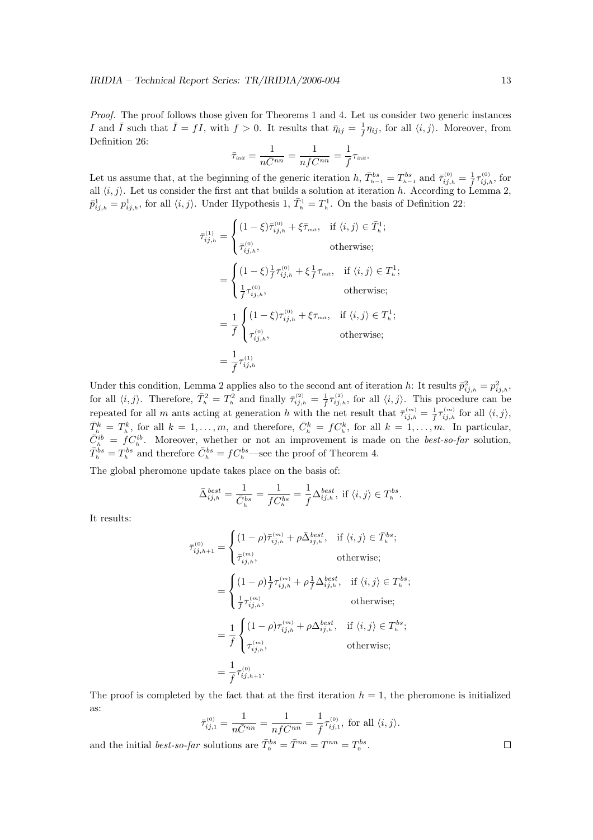Proof. The proof follows those given for Theorems 1 and 4. Let us consider two generic instances I and  $\bar{I}$  such that  $\bar{I} = fI$ , with  $f > 0$ . It results that  $\bar{\eta}_{ij} = \frac{1}{f}$  $\frac{1}{f}\eta_{ij}$ , for all  $\langle i, j \rangle$ . Moreover, from Definition 26:

$$
\bar{\tau}_{\scriptscriptstyle init} = \frac{1}{n\bar{C}^{nn}} = \frac{1}{nfC^{nn}} = \frac{1}{f}\tau_{\scriptscriptstyle init}.
$$

Let us assume that, at the beginning of the generic iteration  $h, \bar{T}_{h-1}^{bs} = T_{h-1}^{bs}$  and  $\bar{\tau}_{ij,h}^{(0)} = \frac{1}{f}$  $\frac{1}{f} \tau_{ij,h}^{\text{\tiny{(0)}}},$  for all  $\langle i, j \rangle$ . Let us consider the first ant that builds a solution at iteration h. According to Lemma 2,  $\bar{p}_{ij,h}^1 = p_{ij,h}^1$ , for all  $\langle i, j \rangle$ . Under Hypothesis 1,  $\bar{T}_h^1 = T_h^1$ . On the basis of Definition 22:

$$
\bar{\tau}_{ij,h}^{(1)} = \begin{cases}\n(1 - \xi)\bar{\tau}_{ij,h}^{(0)} + \xi\bar{\tau}_{init}, & \text{if } \langle i,j \rangle \in \bar{T}_h^1; \\
\bar{\tau}_{ij,h}^{(0)}, & \text{otherwise;} \\
\end{cases}
$$
\n
$$
= \begin{cases}\n(1 - \xi)\frac{1}{f}\tau_{ij,h}^{(0)} + \xi\frac{1}{f}\tau_{init}, & \text{if } \langle i,j \rangle \in T_h^1; \\
\frac{1}{f}\tau_{ij,h}^{(0)}, & \text{otherwise;} \\
\end{cases}
$$
\n
$$
= \frac{1}{f} \begin{cases}\n(1 - \xi)\tau_{ij,h}^{(0)} + \xi\tau_{init}, & \text{if } \langle i,j \rangle \in T_h^1; \\
\tau_{ij,h}^{(0)}, & \text{otherwise;} \\
\end{cases}
$$
\n
$$
= \frac{1}{f}\tau_{ij,h}^{(1)}
$$

Under this condition, Lemma 2 applies also to the second ant of iteration h: It results  $\bar{p}_{ij,h}^2 = p_{ij,h}^2$ , for all  $\langle i, j \rangle$ . Therefore,  $\bar{T}_h^2 = T_h^2$  and finally  $\bar{\tau}_{ij,h}^{(2)} = \frac{1}{f}$  $\frac{1}{f} \tau_{ij,h}^{(2)}$ , for all  $\langle i,j \rangle$ . This procedure can be repeated for all m ants acting at generation h with the net result that  $\bar{\tau}_{ij,h}^{(m)} = \frac{1}{f}$  $\frac{1}{f} \tau_{ij,h}^{(m)}$  for all  $\langle i, j \rangle$ ,  $\bar{T}_h^k = T_h^k$ , for all  $k = 1, \ldots, m$ , and therefore,  $\bar{C}_h^k = f C_h^k$ , for all  $k = 1, \ldots, m$ . In particular,  $\overline{C}_h^{ib} = f C_h^{ib}$ . Moreover, whether or not an improvement is made on the *best-so-far* solution,  $\bar{T}_{h}^{bs} = T_{h}^{bs}$  and therefore  $\bar{C}_{h}^{bs} = fC_{h}^{bs}$ —see the proof of Theorem 4.

The global pheromone update takes place on the basis of:

$$
\bar{\Delta}_{ij,h}^{best} = \frac{1}{\bar{C}_h^{bs}} = \frac{1}{fC_h^{bs}} = \frac{1}{f} \Delta_{ij,h}^{best}, \text{ if } \langle i,j \rangle \in T_h^{bs}.
$$

It results:

$$
\bar{\tau}_{ij,h+1}^{(0)} = \begin{cases}\n(1-\rho)\bar{\tau}_{ij,h}^{(m)} + \rho \bar{\Delta}_{ij,h}^{best}, & \text{if } \langle i,j \rangle \in \bar{T}_h^{bs}; \\
\bar{\tau}_{ij,h}^{(m)}, & \text{otherwise};\n\end{cases}
$$
\n
$$
= \begin{cases}\n(1-\rho)\frac{1}{f}\tau_{ij,h}^{(m)} + \rho\frac{1}{f}\Delta_{ij,h}^{best}, & \text{if } \langle i,j \rangle \in T_h^{bs}; \\
\frac{1}{f}\tau_{ij,h}^{(m)}, & \text{otherwise};\n\end{cases}
$$
\n
$$
= \frac{1}{f} \begin{cases}\n(1-\rho)\tau_{ij,h}^{(m)} + \rho \Delta_{ij,h}^{best}, & \text{if } \langle i,j \rangle \in T_h^{bs}; \\
\tau_{ij,h}^{(m)}, & \text{otherwise};\n\end{cases}
$$
\n
$$
= \frac{1}{f}\tau_{ij,h+1}^{(0)}.
$$

The proof is completed by the fact that at the first iteration  $h = 1$ , the pheromone is initialized as:

$$
\bar{\tau}_{ij,1}^{(0)} = \frac{1}{n\bar{C}^{nn}} = \frac{1}{n f C^{nn}} = \frac{1}{f} \tau_{ij,1}^{(0)}, \text{ for all } \langle i, j \rangle.
$$

and the initial *best-so-far* solutions are  $\overline{T}^{bs}_{0} = \overline{T}^{nn} = T^{nn} = T^{bs}_{0}$ .

 $\Box$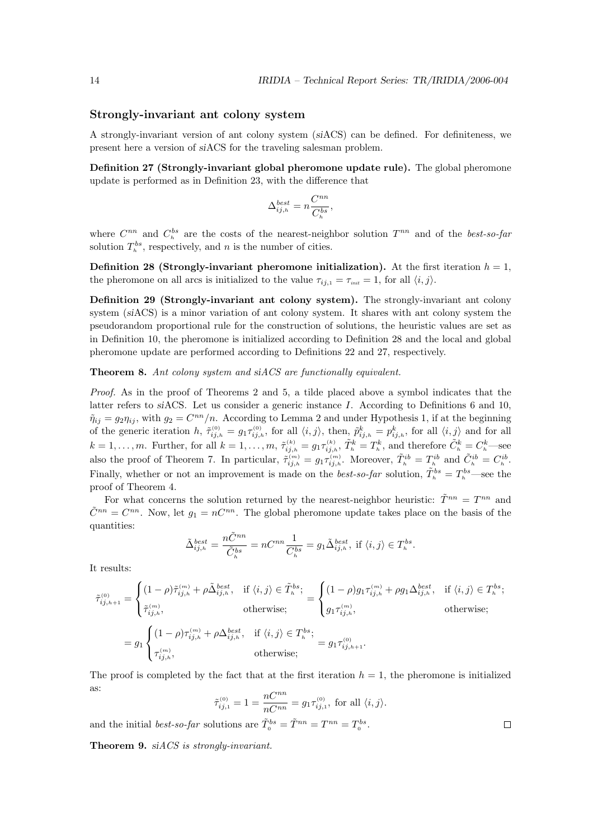#### Strongly-invariant ant colony system

A strongly-invariant version of ant colony system (siACS) can be defined. For definiteness, we present here a version of siACS for the traveling salesman problem.

Definition 27 (Strongly-invariant global pheromone update rule). The global pheromone update is performed as in Definition 23, with the difference that

$$
\Delta_{ij,h}^{best} = n \frac{C^{nn}}{C_h^{bs}},
$$

where  $C^{nn}$  and  $C_h^{bs}$  are the costs of the nearest-neighbor solution  $T^{nn}$  and of the *best-so-far* solution  $T_h^{bs}$ , respectively, and n is the number of cities.

Definition 28 (Strongly-invariant pheromone initialization). At the first iteration  $h = 1$ , the pheromone on all arcs is initialized to the value  $\tau_{ii,1} = \tau_{\text{init}} = 1$ , for all  $\langle i, j \rangle$ .

Definition 29 (Strongly-invariant ant colony system). The strongly-invariant ant colony system (siACS) is a minor variation of ant colony system. It shares with ant colony system the pseudorandom proportional rule for the construction of solutions, the heuristic values are set as in Definition 10, the pheromone is initialized according to Definition 28 and the local and global pheromone update are performed according to Definitions 22 and 27, respectively.

Theorem 8. Ant colony system and siACS are functionally equivalent.

Proof. As in the proof of Theorems 2 and 5, a tilde placed above a symbol indicates that the latter refers to siACS. Let us consider a generic instance I. According to Definitions 6 and 10,  $\tilde{\eta}_{ij} = g_2 \eta_{ij}$ , with  $g_2 = C^{nn}/n$ . According to Lemma 2 and under Hypothesis 1, if at the beginning of the generic iteration  $h, \tilde{\tau}_{ij,h}^{(0)} = g_1 \tau_{ij,h}^{(0)}$ , for all  $\langle i,j \rangle$ , then,  $\tilde{p}_{ij,h}^k = p_{ij,h}^k$ , for all  $\langle i,j \rangle$  and for all  $k = 1, \ldots, m$ . Further, for all  $k = 1, \ldots, m$ ,  $\tilde{\tau}_{ij,h}^{(k)} = g_1 \tau_{ij,h}^{(k)}$ ,  $\tilde{T}_h^k = T_h^k$ , and therefore  $\tilde{C}_h^k = C_h^k$ —see also the proof of Theorem 7. In particular,  $\tilde{\tau}_{ij,h}^{(m)} = g_1 \tau_{ij,h}^{(m)}$ . Moreover,  $\tilde{T}_h^{ib} = T_h^{ib}$  and  $\tilde{C}_h^{ib} = C_h^{ib}$ . Finally, whether or not an improvement is made on the *best-so-far* solution,  $\tilde{T}_h^{bs} = T_h^{bs}$ —see the proof of Theorem 4.

For what concerns the solution returned by the nearest-neighbor heuristic:  $\tilde{T}^{nn} = T^{nn}$  and  $\tilde{C}^{nn} = C^{nn}$ . Now, let  $g_1 = nC^{nn}$ . The global pheromone update takes place on the basis of the quantities:

$$
\tilde{\Delta}^{best}_{ij,h} = \frac{n\tilde{C}^{nn}}{\tilde{C}^{bs}_h} = nC^{nn}\frac{1}{C^{bs}_h} = g_1 \tilde{\Delta}^{best}_{ij,h}, \text{ if } \langle i,j \rangle \in T^{bs}_h.
$$

It results:

$$
\tilde{\tau}_{ij,h+1}^{(0)} = \begin{cases}\n(1-\rho)\tilde{\tau}_{ij,h}^{(m)} + \rho \tilde{\Delta}_{ij,h}^{best}, & \text{if } \langle i,j \rangle \in \tilde{T}_h^{bs}; \\
\tilde{\tau}_{ij,h}^{(m)}, & \text{otherwise};\n\end{cases} = \begin{cases}\n(1-\rho)g_1 \tau_{ij,h}^{(m)} + \rho g_1 \Delta_{ij,h}^{best}, & \text{if } \langle i,j \rangle \in T_h^{bs}; \\
g_1 \tau_{ij,h}^{(m)}, & \text{otherwise};\n\end{cases}
$$
\n
$$
= g_1 \begin{cases}\n(1-\rho) \tau_{ij,h}^{(m)} + \rho \Delta_{ij,h}^{best}, & \text{if } \langle i,j \rangle \in T_h^{bs}; \\
\tau_{ij,h}^{(m)}, & \text{otherwise};\n\end{cases} = g_1 \tau_{ij,h+1}^{(0)}.
$$

The proof is completed by the fact that at the first iteration  $h = 1$ , the pheromone is initialized as:

$$
\tilde{\tau}_{ij,1}^{(0)} = 1 = \frac{nC^{nn}}{nC^{nn}} = g_1 \tau_{ij,1}^{(0)}, \text{ for all } \langle i, j \rangle.
$$

 $\Box$ 

and the initial *best-so-far* solutions are  $\tilde{T}^{bs}_{0} = \tilde{T}^{nn} = T^{nn} = T^{bs}_{0}$ .

Theorem 9. siACS is strongly-invariant.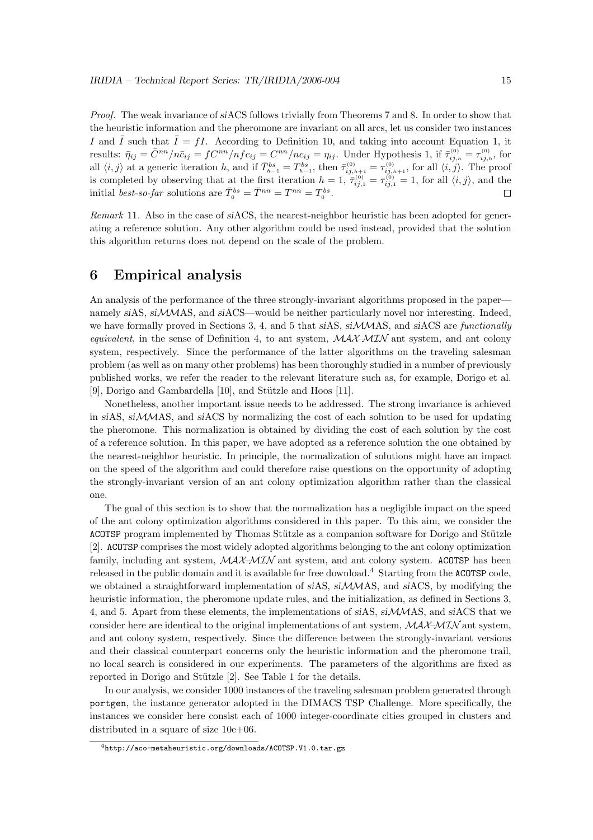Proof. The weak invariance of siACS follows trivially from Theorems 7 and 8. In order to show that the heuristic information and the pheromone are invariant on all arcs, let us consider two instances I and  $\overline{I}$  such that  $\overline{I} = fI$ . According to Definition 10, and taking into account Equation 1, it results:  $\bar{\eta}_{ij} = \bar{C}^{nn}/n\bar{c}_{ij} = fC^{nn}/nf c_{ij} = C^{nn}/nc_{ij} = \eta_{ij}$ . Under Hypothesis 1, if  $\bar{\tau}_{ij,h}^{(0)} = \tau_{ij,h}^{(0)}$ , for all  $\langle i, j \rangle$  at a generic iteration h, and if  $\overline{T}_{h-1}^{bs} = T_{h-1}^{bs}$ , then  $\overline{\tau}_{ij,h+1}^{(0)} = \tau_{ij,h+1}^{(0)}$ , for all  $\langle i, j \rangle$ . The proof is completed by observing that at the first iteration  $h = 1$ ,  $\bar{\tau}_{ij,1}^{(0)} = \tau_{ij,1}^{(0)} = 1$ , for all  $\langle i, j \rangle$ , and the initial *best-so-far* solutions are  $\overline{T}^{bs}_{0} = \overline{T}^{nn} = T^{nn} = T^{bs}_{0}$ .

Remark 11. Also in the case of siACS, the nearest-neighbor heuristic has been adopted for generating a reference solution. Any other algorithm could be used instead, provided that the solution this algorithm returns does not depend on the scale of the problem.

## 6 Empirical analysis

An analysis of the performance of the three strongly-invariant algorithms proposed in the paper namely siAS, siMMAS, and siACS—would be neither particularly novel nor interesting. Indeed, we have formally proved in Sections 3, 4, and 5 that siAS, siMMAS, and siACS are functionally equivalent, in the sense of Definition 4, to ant system,  $\mathcal{MAX}$ - $\mathcal{MX}$  ant system, and ant colony system, respectively. Since the performance of the latter algorithms on the traveling salesman problem (as well as on many other problems) has been thoroughly studied in a number of previously published works, we refer the reader to the relevant literature such as, for example, Dorigo et al. [9], Dorigo and Gambardella  $[10]$ , and Stützle and Hoos  $[11]$ .

Nonetheless, another important issue needs to be addressed. The strong invariance is achieved in siAS, si $\mathcal{M}$ MAS, and siACS by normalizing the cost of each solution to be used for updating the pheromone. This normalization is obtained by dividing the cost of each solution by the cost of a reference solution. In this paper, we have adopted as a reference solution the one obtained by the nearest-neighbor heuristic. In principle, the normalization of solutions might have an impact on the speed of the algorithm and could therefore raise questions on the opportunity of adopting the strongly-invariant version of an ant colony optimization algorithm rather than the classical one.

The goal of this section is to show that the normalization has a negligible impact on the speed of the ant colony optimization algorithms considered in this paper. To this aim, we consider the ACOTSP program implemented by Thomas Stützle as a companion software for Dorigo and Stützle [2]. ACOTSP comprises the most widely adopted algorithms belonging to the ant colony optimization family, including ant system,  $MAX-MIN$  ant system, and ant colony system. ACOTSP has been released in the public domain and it is available for free download.<sup>4</sup> Starting from the ACOTSP code, we obtained a straightforward implementation of siAS, siMMAS, and siACS, by modifying the heuristic information, the pheromone update rules, and the initialization, as defined in Sections 3, 4, and 5. Apart from these elements, the implementations of siAS, siMMAS, and siACS that we consider here are identical to the original implementations of ant system,  $\mathcal{MAX}$ – $\mathcal{MIN}$  ant system, and ant colony system, respectively. Since the difference between the strongly-invariant versions and their classical counterpart concerns only the heuristic information and the pheromone trail, no local search is considered in our experiments. The parameters of the algorithms are fixed as reported in Dorigo and Stützle [2]. See Table 1 for the details.

In our analysis, we consider 1000 instances of the traveling salesman problem generated through portgen, the instance generator adopted in the DIMACS TSP Challenge. More specifically, the instances we consider here consist each of 1000 integer-coordinate cities grouped in clusters and distributed in a square of size 10e+06.

<sup>4</sup>http://aco-metaheuristic.org/downloads/ACOTSP.V1.0.tar.gz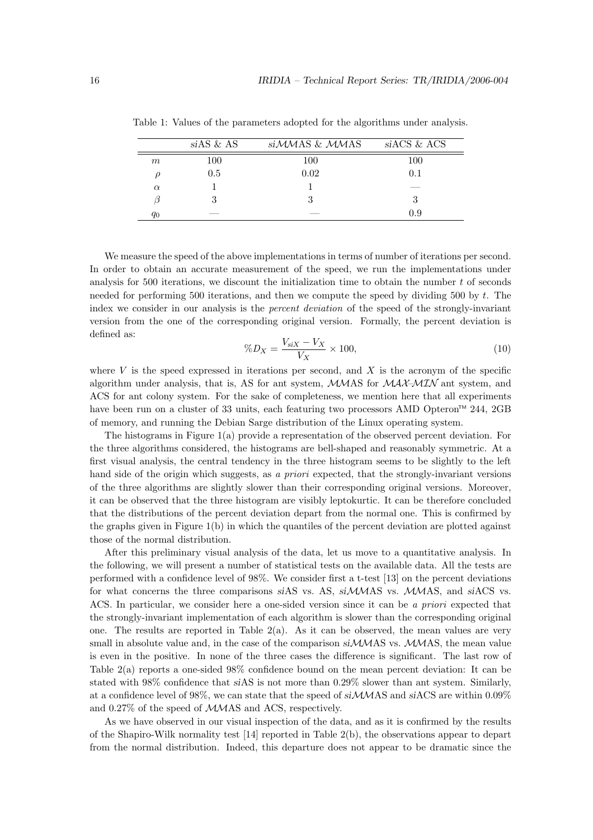|          | $s$ <i>iAS</i> & <i>AS</i> | siMMAS & MMAS | siACS & ACS |
|----------|----------------------------|---------------|-------------|
| m        | 100                        | 100           | 100         |
|          | 0.5                        | 0.02          | 0.1         |
| $\alpha$ |                            |               |             |
|          | 3                          | 3             |             |
| q0       |                            |               | N 9         |

Table 1: Values of the parameters adopted for the algorithms under analysis.

We measure the speed of the above implementations in terms of number of iterations per second. In order to obtain an accurate measurement of the speed, we run the implementations under analysis for 500 iterations, we discount the initialization time to obtain the number t of seconds needed for performing 500 iterations, and then we compute the speed by dividing 500 by  $t$ . The index we consider in our analysis is the *percent deviation* of the speed of the strongly-invariant version from the one of the corresponding original version. Formally, the percent deviation is defined as:

$$
\%D_X = \frac{V_{\rm siX} - V_X}{V_X} \times 100,\tag{10}
$$

where  $V$  is the speed expressed in iterations per second, and  $X$  is the acronym of the specific algorithm under analysis, that is, AS for ant system,  $MMS$  for  $MAX-MIN$  ant system, and ACS for ant colony system. For the sake of completeness, we mention here that all experiments have been run on a cluster of 33 units, each featuring two processors AMD Opteron<sup>TM</sup> 244, 2GB of memory, and running the Debian Sarge distribution of the Linux operating system.

The histograms in Figure 1(a) provide a representation of the observed percent deviation. For the three algorithms considered, the histograms are bell-shaped and reasonably symmetric. At a first visual analysis, the central tendency in the three histogram seems to be slightly to the left hand side of the origin which suggests, as a priori expected, that the strongly-invariant versions of the three algorithms are slightly slower than their corresponding original versions. Moreover, it can be observed that the three histogram are visibly leptokurtic. It can be therefore concluded that the distributions of the percent deviation depart from the normal one. This is confirmed by the graphs given in Figure 1(b) in which the quantiles of the percent deviation are plotted against those of the normal distribution.

After this preliminary visual analysis of the data, let us move to a quantitative analysis. In the following, we will present a number of statistical tests on the available data. All the tests are performed with a confidence level of 98%. We consider first a t-test [13] on the percent deviations for what concerns the three comparisons siAS vs. AS, siMMAS vs. MMAS, and siACS vs. ACS. In particular, we consider here a one-sided version since it can be a priori expected that the strongly-invariant implementation of each algorithm is slower than the corresponding original one. The results are reported in Table 2(a). As it can be observed, the mean values are very small in absolute value and, in the case of the comparison  $siMMS$  vs.  $MMAS$ , the mean value is even in the positive. In none of the three cases the difference is significant. The last row of Table 2(a) reports a one-sided 98% confidence bound on the mean percent deviation: It can be stated with 98% confidence that siAS is not more than 0.29% slower than ant system. Similarly, at a confidence level of 98%, we can state that the speed of siMMAS and siACS are within 0.09% and 0.27% of the speed of MMAS and ACS, respectively.

As we have observed in our visual inspection of the data, and as it is confirmed by the results of the Shapiro-Wilk normality test [14] reported in Table 2(b), the observations appear to depart from the normal distribution. Indeed, this departure does not appear to be dramatic since the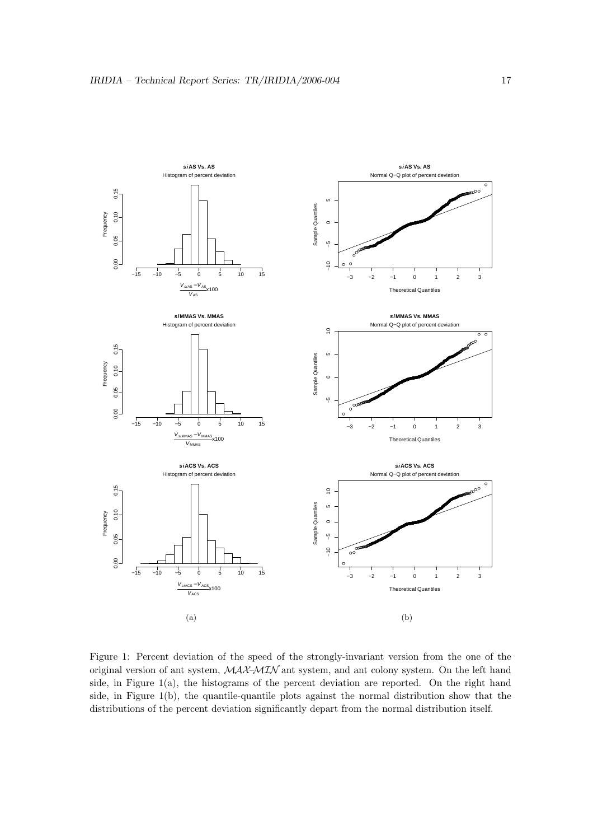

Figure 1: Percent deviation of the speed of the strongly-invariant version from the one of the original version of ant system, MAX–MIN ant system, and ant colony system. On the left hand side, in Figure  $1(a)$ , the histograms of the percent deviation are reported. On the right hand side, in Figure  $1(b)$ , the quantile-quantile plots against the normal distribution show that the distributions of the percent deviation significantly depart from the normal distribution itself.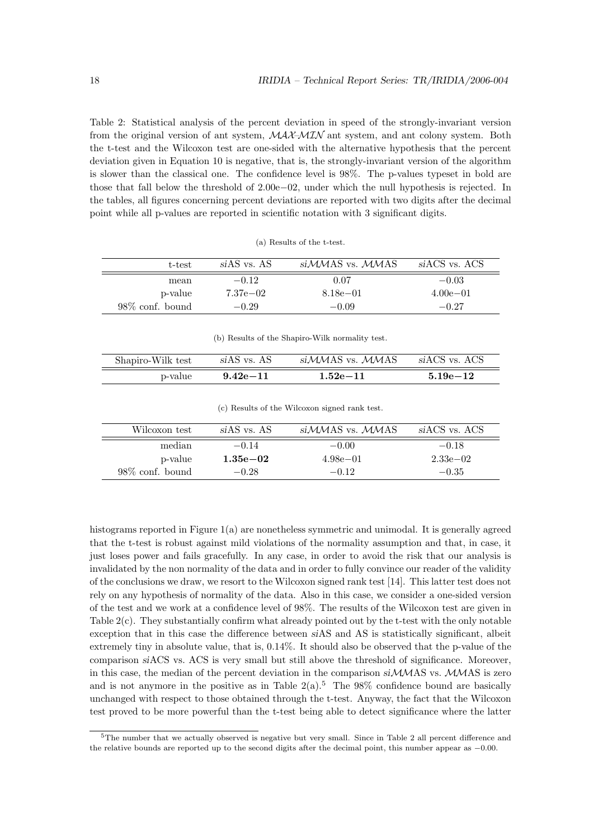Table 2: Statistical analysis of the percent deviation in speed of the strongly-invariant version from the original version of ant system,  $\mathcal{MAX} \rightarrow \mathcal{MAX}$  ant system, and ant colony system. Both the t-test and the Wilcoxon test are one-sided with the alternative hypothesis that the percent deviation given in Equation 10 is negative, that is, the strongly-invariant version of the algorithm is slower than the classical one. The confidence level is 98%. The p-values typeset in bold are those that fall below the threshold of 2.00e−02, under which the null hypothesis is rejected. In the tables, all figures concerning percent deviations are reported with two digits after the decimal point while all p-values are reported in scientific notation with 3 significant digits.

| t-test             | siAS vs. AS | siMMAS vs. MMAS | siACS vs. ACS |
|--------------------|-------------|-----------------|---------------|
| mean               | $-0.12$     | 0.07            | $-0.03$       |
| p-value            | 7.37e-02    | 8.18e-01        | $4.00e - 01$  |
| $98\%$ conf. bound | $-0.29$     | $-0.09$         | $-0.27$       |

(a) Results of the t-test.

(b) Results of the Shapiro-Wilk normality test.

| Shapiro-Wilk test | siAS vs. AS  | siMMAS vs. MMAS | siACS vs. ACS |
|-------------------|--------------|-----------------|---------------|
| p-value           | $9.42e - 11$ | $1.52e{-11}$    | $5.19e - 12$  |

(c) Results of the Wilcoxon signed rank test.

| Wilcoxon test      | siAS vs. AS  | siMMAS vs. MMAS | siACS vs. ACS |
|--------------------|--------------|-----------------|---------------|
| median             | $-0.14$      | $-0.00$         | $-0.18$       |
|                    |              |                 |               |
| p-value            | $1.35e{-}02$ | $4.98e - 01$    | $2.33e - 02$  |
| $98\%$ conf. bound | $-0.28$      | $-0.12$         | $-0.35$       |

histograms reported in Figure 1(a) are nonetheless symmetric and unimodal. It is generally agreed that the t-test is robust against mild violations of the normality assumption and that, in case, it just loses power and fails gracefully. In any case, in order to avoid the risk that our analysis is invalidated by the non normality of the data and in order to fully convince our reader of the validity of the conclusions we draw, we resort to the Wilcoxon signed rank test [14]. This latter test does not rely on any hypothesis of normality of the data. Also in this case, we consider a one-sided version of the test and we work at a confidence level of 98%. The results of the Wilcoxon test are given in Table 2(c). They substantially confirm what already pointed out by the t-test with the only notable exception that in this case the difference between siAS and AS is statistically significant, albeit extremely tiny in absolute value, that is, 0.14%. It should also be observed that the p-value of the comparison siACS vs. ACS is very small but still above the threshold of significance. Moreover, in this case, the median of the percent deviation in the comparison  $siMMS$  vs.  $MMAS$  is zero and is not anymore in the positive as in Table  $2(a)$ .<sup>5</sup> The 98% confidence bound are basically unchanged with respect to those obtained through the t-test. Anyway, the fact that the Wilcoxon test proved to be more powerful than the t-test being able to detect significance where the latter

<sup>5</sup>The number that we actually observed is negative but very small. Since in Table 2 all percent difference and the relative bounds are reported up to the second digits after the decimal point, this number appear as −0.00.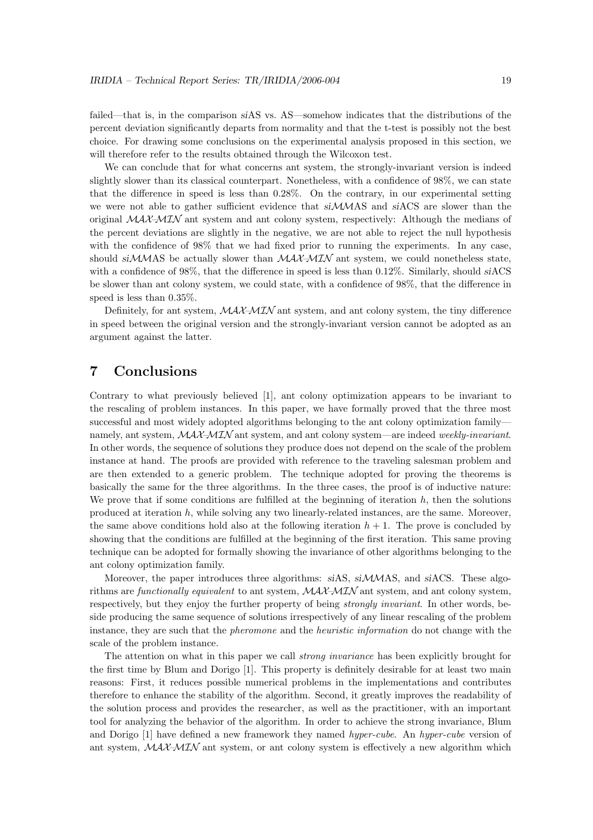failed—that is, in the comparison siAS vs. AS—somehow indicates that the distributions of the percent deviation significantly departs from normality and that the t-test is possibly not the best choice. For drawing some conclusions on the experimental analysis proposed in this section, we will therefore refer to the results obtained through the Wilcoxon test.

We can conclude that for what concerns ant system, the strongly-invariant version is indeed slightly slower than its classical counterpart. Nonetheless, with a confidence of 98%, we can state that the difference in speed is less than 0.28%. On the contrary, in our experimental setting we were not able to gather sufficient evidence that  $siMMS$  and  $siACS$  are slower than the original  $MAX-MIN$  ant system and ant colony system, respectively: Although the medians of the percent deviations are slightly in the negative, we are not able to reject the null hypothesis with the confidence of 98% that we had fixed prior to running the experiments. In any case, should  $sIMMAS$  be actually slower than  $MAX-MIN$  ant system, we could nonetheless state, with a confidence of 98%, that the difference in speed is less than 0.12%. Similarly, should siACS be slower than ant colony system, we could state, with a confidence of 98%, that the difference in speed is less than 0.35%.

Definitely, for ant system,  $\mathcal{MAX} \rightarrow \mathcal{MIN}$  ant system, and ant colony system, the tiny difference in speed between the original version and the strongly-invariant version cannot be adopted as an argument against the latter.

## 7 Conclusions

Contrary to what previously believed [1], ant colony optimization appears to be invariant to the rescaling of problem instances. In this paper, we have formally proved that the three most successful and most widely adopted algorithms belonging to the ant colony optimization family namely, ant system,  $\mathcal{MAX} \rightarrow \mathcal{MIN}$  ant system, and ant colony system—are indeed weekly-invariant. In other words, the sequence of solutions they produce does not depend on the scale of the problem instance at hand. The proofs are provided with reference to the traveling salesman problem and are then extended to a generic problem. The technique adopted for proving the theorems is basically the same for the three algorithms. In the three cases, the proof is of inductive nature: We prove that if some conditions are fulfilled at the beginning of iteration  $h$ , then the solutions produced at iteration h, while solving any two linearly-related instances, are the same. Moreover, the same above conditions hold also at the following iteration  $h + 1$ . The prove is concluded by showing that the conditions are fulfilled at the beginning of the first iteration. This same proving technique can be adopted for formally showing the invariance of other algorithms belonging to the ant colony optimization family.

Moreover, the paper introduces three algorithms: siAS, siMMAS, and siACS. These algorithms are functionally equivalent to ant system,  $MAX-MIN$  ant system, and ant colony system, respectively, but they enjoy the further property of being strongly invariant. In other words, beside producing the same sequence of solutions irrespectively of any linear rescaling of the problem instance, they are such that the pheromone and the heuristic information do not change with the scale of the problem instance.

The attention on what in this paper we call *strong invariance* has been explicitly brought for the first time by Blum and Dorigo [1]. This property is definitely desirable for at least two main reasons: First, it reduces possible numerical problems in the implementations and contributes therefore to enhance the stability of the algorithm. Second, it greatly improves the readability of the solution process and provides the researcher, as well as the practitioner, with an important tool for analyzing the behavior of the algorithm. In order to achieve the strong invariance, Blum and Dorigo [1] have defined a new framework they named hyper-cube. An hyper-cube version of ant system,  $\mathcal{MAX}\text{-}\mathcal{MIN}$  ant system, or ant colony system is effectively a new algorithm which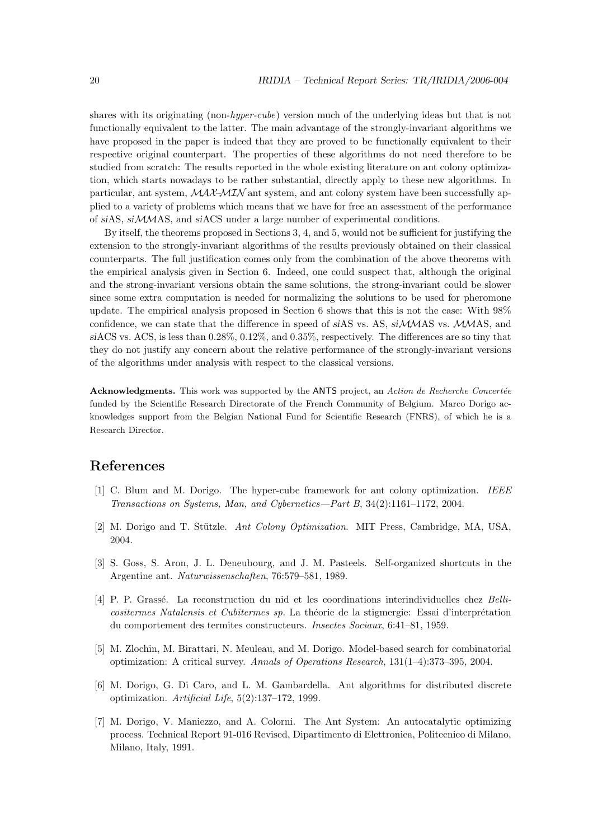shares with its originating (non-hyper-cube) version much of the underlying ideas but that is not functionally equivalent to the latter. The main advantage of the strongly-invariant algorithms we have proposed in the paper is indeed that they are proved to be functionally equivalent to their respective original counterpart. The properties of these algorithms do not need therefore to be studied from scratch: The results reported in the whole existing literature on ant colony optimization, which starts nowadays to be rather substantial, directly apply to these new algorithms. In particular, ant system,  $\mathcal{MAX}\rightarrow\mathcal{MIN}$  ant system, and ant colony system have been successfully applied to a variety of problems which means that we have for free an assessment of the performance of siAS, siMMAS, and siACS under a large number of experimental conditions.

By itself, the theorems proposed in Sections 3, 4, and 5, would not be sufficient for justifying the extension to the strongly-invariant algorithms of the results previously obtained on their classical counterparts. The full justification comes only from the combination of the above theorems with the empirical analysis given in Section 6. Indeed, one could suspect that, although the original and the strong-invariant versions obtain the same solutions, the strong-invariant could be slower since some extra computation is needed for normalizing the solutions to be used for pheromone update. The empirical analysis proposed in Section 6 shows that this is not the case: With 98% confidence, we can state that the difference in speed of siAS vs. AS, siMMAS vs. MMAS, and siACS vs. ACS, is less than 0.28%, 0.12%, and 0.35%, respectively. The differences are so tiny that they do not justify any concern about the relative performance of the strongly-invariant versions of the algorithms under analysis with respect to the classical versions.

Acknowledgments. This work was supported by the ANTS project, an Action de Recherche Concertée funded by the Scientific Research Directorate of the French Community of Belgium. Marco Dorigo acknowledges support from the Belgian National Fund for Scientific Research (FNRS), of which he is a Research Director.

## References

- [1] C. Blum and M. Dorigo. The hyper-cube framework for ant colony optimization. IEEE Transactions on Systems, Man, and Cybernetics—Part B, 34(2):1161–1172, 2004.
- [2] M. Dorigo and T. Stützle. Ant Colony Optimization. MIT Press, Cambridge, MA, USA, 2004.
- [3] S. Goss, S. Aron, J. L. Deneubourg, and J. M. Pasteels. Self-organized shortcuts in the Argentine ant. Naturwissenschaften, 76:579–581, 1989.
- [4] P. P. Grassé. La reconstruction du nid et les coordinations interindividuelles chez Bellicositermes Natalensis et Cubitermes sp. La théorie de la stigmergie: Essai d'interprétation du comportement des termites constructeurs. Insectes Sociaux, 6:41–81, 1959.
- [5] M. Zlochin, M. Birattari, N. Meuleau, and M. Dorigo. Model-based search for combinatorial optimization: A critical survey. Annals of Operations Research, 131(1–4):373–395, 2004.
- [6] M. Dorigo, G. Di Caro, and L. M. Gambardella. Ant algorithms for distributed discrete optimization. Artificial Life, 5(2):137–172, 1999.
- [7] M. Dorigo, V. Maniezzo, and A. Colorni. The Ant System: An autocatalytic optimizing process. Technical Report 91-016 Revised, Dipartimento di Elettronica, Politecnico di Milano, Milano, Italy, 1991.